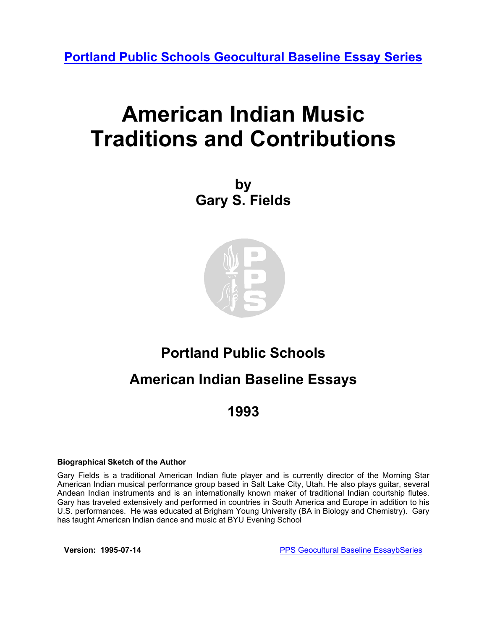**[Portland Public Schools Geocultural Baseline Essay Series](http://www.pps.k12.or.us/district/depts/mc-me/essays.shtml)**

# **American Indian Music Traditions and Contributions**

**by Gary S. Fields** 



## **Portland Public Schools**

## **American Indian Baseline Essays**

**1993**

#### **Biographical Sketch of the Author**

Gary Fields is a traditional American Indian flute player and is currently director of the Morning Star American Indian musical performance group based in Salt Lake City, Utah. He also plays guitar, several Andean Indian instruments and is an internationally known maker of traditional Indian courtship flutes. Gary has traveled extensively and performed in countries in South America and Europe in addition to his U.S. performances. He was educated at Brigham Young University (BA in Biology and Chemistry). Gary has taught American Indian dance and music at BYU Evening School

**Version: 1995-07-14** [PPS Geocultural Baseline EssaybSeries](http://www.pps.k12.or.us/district/depts/mc-me/essays.shtml)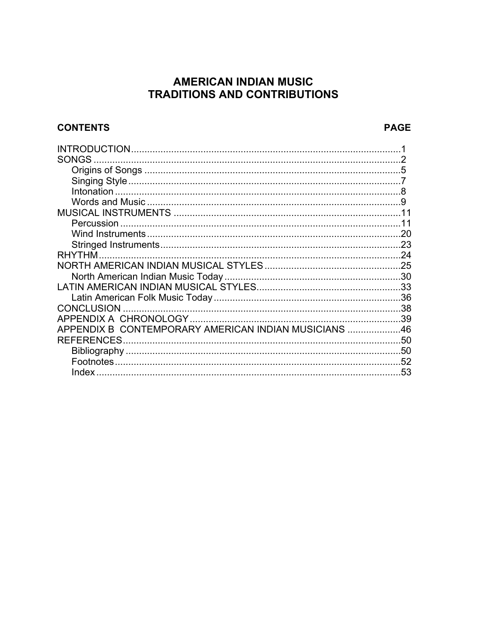## **AMERICAN INDIAN MUSIC TRADITIONS AND CONTRIBUTIONS**

## **CONTENTS**

### **PAGE**

| <b>SONGS</b>                                         |     |
|------------------------------------------------------|-----|
|                                                      | 5   |
|                                                      |     |
|                                                      |     |
|                                                      | 9   |
|                                                      |     |
| Percussion                                           |     |
|                                                      | 20  |
|                                                      | .23 |
|                                                      |     |
|                                                      |     |
|                                                      |     |
|                                                      |     |
|                                                      |     |
| <b>CONCLUSION</b>                                    | .38 |
|                                                      |     |
| APPENDIX B CONTEMPORARY AMERICAN INDIAN MUSICIANS 46 |     |
| <b>REFERENCES</b>                                    | .50 |
|                                                      | .50 |
|                                                      | .52 |
| Index.                                               | 53  |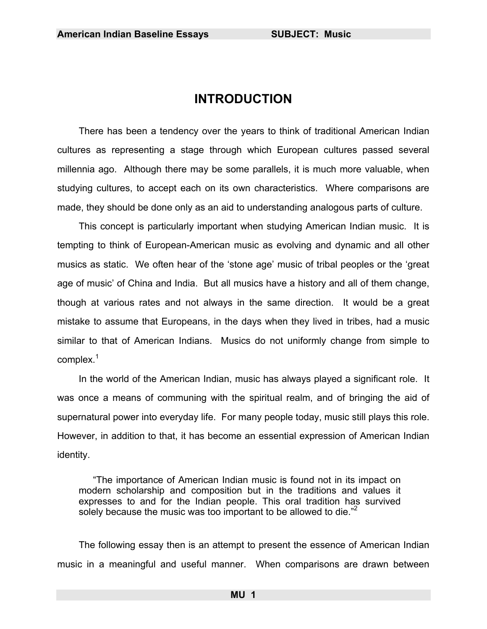## **INTRODUCTION**

<span id="page-2-0"></span>There has been a tendency over the years to think of traditional American Indian cultures as representing a stage through which European cultures passed several millennia ago. Although there may be some parallels, it is much more valuable, when studying cultures, to accept each on its own characteristics. Where comparisons are made, they should be done only as an aid to understanding analogous parts of culture.

This concept is particularly important when studying American Indian music. It is tempting to think of European-American music as evolving and dynamic and all other musics as static. We often hear of the 'stone age' music of tribal peoples or the 'great age of music' of China and India. But all musics have a history and all of them change, though at various rates and not always in the same direction. It would be a great mistake to assume that Europeans, in the days when they lived in tribes, had a music similar to that of American Indians. Musics do not uniformly change from simple to complex. $1$ 

In the world of the American Indian, music has always played a significant role. It was once a means of communing with the spiritual realm, and of bringing the aid of supernatural power into everyday life. For many people today, music still plays this role. However, in addition to that, it has become an essential expression of American Indian identity.

"The importance of American Indian music is found not in its impact on modern scholarship and composition but in the traditions and values it expresses to and for the Indian people. This oral tradition has survived solely because the music was too important to be allowed to die. $^{\prime\prime}$ 

The following essay then is an attempt to present the essence of American Indian music in a meaningful and useful manner. When comparisons are drawn between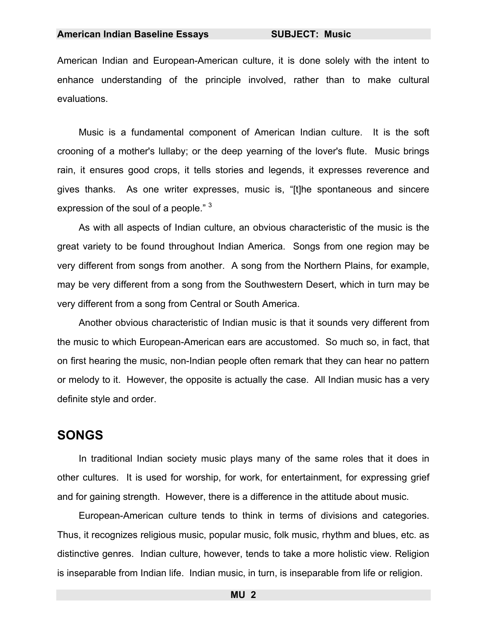<span id="page-3-0"></span>American Indian and European-American culture, it is done solely with the intent to enhance understanding of the principle involved, rather than to make cultural evaluations.

Music is a fundamental component of American Indian culture. It is the soft crooning of a mother's lullaby; or the deep yearning of the lover's flute. Music brings rain, it ensures good crops, it tells stories and legends, it expresses reverence and gives thanks. As one writer expresses, music is, "[t]he spontaneous and sincere expression of the soul of a people."<sup>3</sup>

As with all aspects of Indian culture, an obvious characteristic of the music is the great variety to be found throughout Indian America. Songs from one region may be very different from songs from another. A song from the Northern Plains, for example, may be very different from a song from the Southwestern Desert, which in turn may be very different from a song from Central or South America.

Another obvious characteristic of Indian music is that it sounds very different from the music to which European-American ears are accustomed. So much so, in fact, that on first hearing the music, non-Indian people often remark that they can hear no pattern or melody to it. However, the opposite is actually the case. All Indian music has a very definite style and order.

## **SONGS**

In traditional Indian society music plays many of the same roles that it does in other cultures. It is used for worship, for work, for entertainment, for expressing grief and for gaining strength. However, there is a difference in the attitude about music.

European-American culture tends to think in terms of divisions and categories. Thus, it recognizes religious music, popular music, folk music, rhythm and blues, etc. as distinctive genres. Indian culture, however, tends to take a more holistic view. Religion is inseparable from Indian life. Indian music, in turn, is inseparable from life or religion.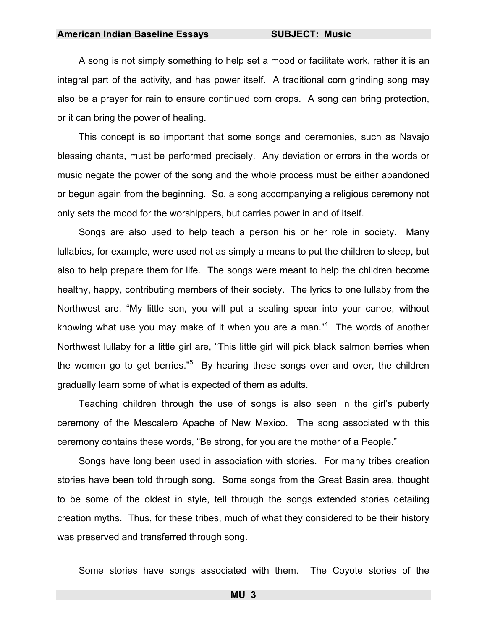#### **American Indian Baseline Essays SUBJECT: Music**

 A song is not simply something to help set a mood or facilitate work, rather it is an integral part of the activity, and has power itself. A traditional corn grinding song may also be a prayer for rain to ensure continued corn crops. A song can bring protection, or it can bring the power of healing.

This concept is so important that some songs and ceremonies, such as Navajo blessing chants, must be performed precisely. Any deviation or errors in the words or music negate the power of the song and the whole process must be either abandoned or begun again from the beginning. So, a song accompanying a religious ceremony not only sets the mood for the worshippers, but carries power in and of itself.

Songs are also used to help teach a person his or her role in society. Many lullabies, for example, were used not as simply a means to put the children to sleep, but also to help prepare them for life. The songs were meant to help the children become healthy, happy, contributing members of their society. The lyrics to one lullaby from the Northwest are, "My little son, you will put a sealing spear into your canoe, without knowing what use you may make of it when you are a man."<sup>4</sup> The words of another Northwest lullaby for a little girl are, "This little girl will pick black salmon berries when the women go to get berries."<sup>5</sup> By hearing these songs over and over, the children gradually learn some of what is expected of them as adults.

Teaching children through the use of songs is also seen in the girl's puberty ceremony of the Mescalero Apache of New Mexico. The song associated with this ceremony contains these words, "Be strong, for you are the mother of a People."

Songs have long been used in association with stories. For many tribes creation stories have been told through song. Some songs from the Great Basin area, thought to be some of the oldest in style, tell through the songs extended stories detailing creation myths. Thus, for these tribes, much of what they considered to be their history was preserved and transferred through song.

Some stories have songs associated with them. The Coyote stories of the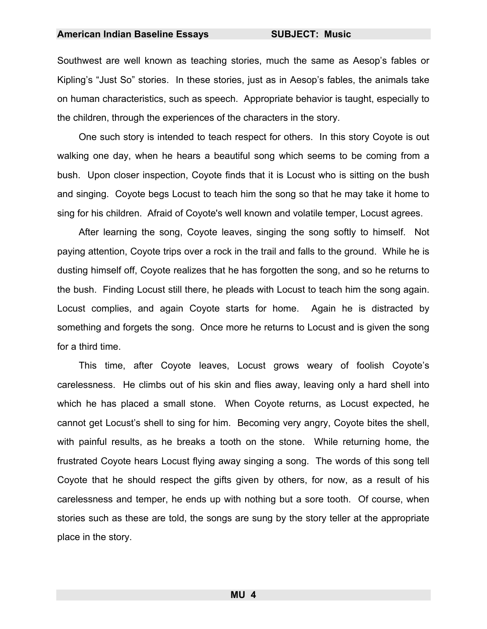#### **American Indian Baseline Essays SUBJECT: Music**

Southwest are well known as teaching stories, much the same as Aesop's fables or Kipling's "Just So" stories. In these stories, just as in Aesop's fables, the animals take on human characteristics, such as speech. Appropriate behavior is taught, especially to the children, through the experiences of the characters in the story.

One such story is intended to teach respect for others. In this story Coyote is out walking one day, when he hears a beautiful song which seems to be coming from a bush. Upon closer inspection, Coyote finds that it is Locust who is sitting on the bush and singing. Coyote begs Locust to teach him the song so that he may take it home to sing for his children. Afraid of Coyote's well known and volatile temper, Locust agrees.

After learning the song, Coyote leaves, singing the song softly to himself. Not paying attention, Coyote trips over a rock in the trail and falls to the ground. While he is dusting himself off, Coyote realizes that he has forgotten the song, and so he returns to the bush. Finding Locust still there, he pleads with Locust to teach him the song again. Locust complies, and again Coyote starts for home. Again he is distracted by something and forgets the song. Once more he returns to Locust and is given the song for a third time.

This time, after Coyote leaves, Locust grows weary of foolish Coyote's carelessness. He climbs out of his skin and flies away, leaving only a hard shell into which he has placed a small stone. When Coyote returns, as Locust expected, he cannot get Locust's shell to sing for him. Becoming very angry, Coyote bites the shell, with painful results, as he breaks a tooth on the stone. While returning home, the frustrated Coyote hears Locust flying away singing a song. The words of this song tell Coyote that he should respect the gifts given by others, for now, as a result of his carelessness and temper, he ends up with nothing but a sore tooth. Of course, when stories such as these are told, the songs are sung by the story teller at the appropriate place in the story.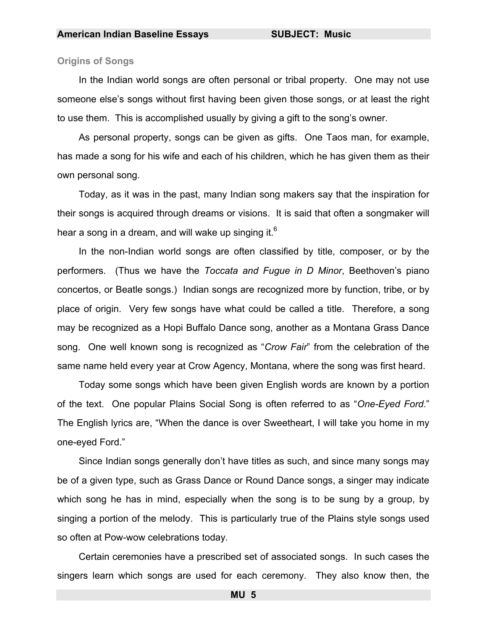<span id="page-6-0"></span>**Origins of Songs** 

In the Indian world songs are often personal or tribal property. One may not use someone else's songs without first having been given those songs, or at least the right to use them. This is accomplished usually by giving a gift to the song's owner.

As personal property, songs can be given as gifts. One Taos man, for example, has made a song for his wife and each of his children, which he has given them as their own personal song.

Today, as it was in the past, many Indian song makers say that the inspiration for their songs is acquired through dreams or visions. It is said that often a songmaker will hear a song in a dream, and will wake up singing it.<sup>6</sup>

In the non-Indian world songs are often classified by title, composer, or by the performers. (Thus we have the *Toccata and Fugue in D Minor*, Beethoven's piano concertos, or Beatle songs.) Indian songs are recognized more by function, tribe, or by place of origin. Very few songs have what could be called a title. Therefore, a song may be recognized as a Hopi Buffalo Dance song, another as a Montana Grass Dance song. One well known song is recognized as "*Crow Fair*" from the celebration of the same name held every year at Crow Agency, Montana, where the song was first heard.

Today some songs which have been given English words are known by a portion of the text. One popular Plains Social Song is often referred to as "*One-Eyed Ford*." The English lyrics are, "When the dance is over Sweetheart, I will take you home i[n](#page-514-2) my one-eyed Ford."

Since Indian songs generally don't have titles as such, and since many songs may be of a given type, such as Grass Dance or Round Dance songs, a singer may indicate which song he has in mind, especially when the song is to be sung by a group, by singing a portion of the melody. This is particularly true of the Plains style songs used so often at Pow-wow celebrations today.

Certain ceremonies have a prescribed set of associated songs. In such cases the singers learn which songs are used for each ceremony. They also know then, the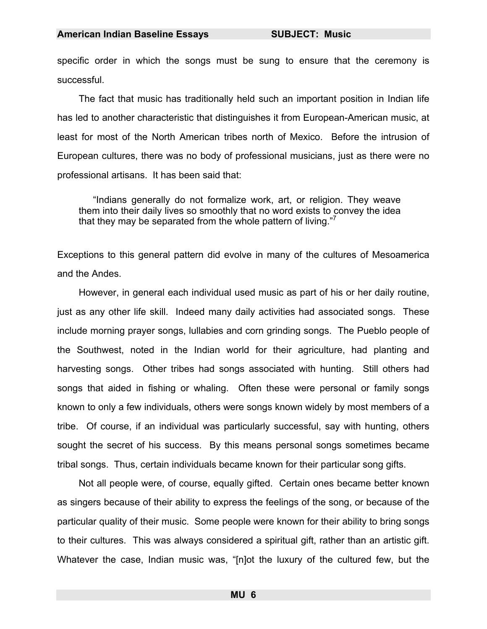specific order in which the songs must be sung to ensure that the ceremony is successful.

The fact that music has traditionally held such an important position in Indian life has led to another characteristic that distinguishes it from European-American music, at least for most of the North American tribes north of Mexico. Before the intrusion of European cultures, there was no body of professional musicians, just as there were no professional artisans. It has been said that:

"Indians generally do not formalize work, art, or religion. They weave them into their daily lives so smoothly that no word exists to convey the idea that they may be separated from the whole pattern of living."

Exceptions to this general pattern did evolve in many of the cultures of Mesoamerica and the Andes.

However, in general each individual used music as part of his or her daily routine, just as any other life skill. Indeed many daily activities had associated songs. These include morning prayer songs, lullabies and corn grinding songs. The Pueblo people of the Southwest, noted in the Indian world for their agriculture, had planting and harvesting songs. Other tribes had songs associated with hunting. Still others had songs that aided in fishing or whaling. Often these were personal or family songs known to only a few individuals, others were songs known widely by most members of a tribe. Of course, if an individual was particularly successful, say with hunting, others sought the secret of his success. By this means personal songs sometimes became tribal songs. Thus, certain individuals became known for their particular song gifts.

Not all people were, of course, equally gifted. Certain ones became better known as singers because of their ability to express the feelings of the song, or because of the particular quality of their [m](#page-514-3)usic. Some people were known for their ability to bring songs to their cultures. This was always considered a spiritual gift, rather than an artistic gift. Whatever the case, Indian music was, "[n]ot the luxury of the cultured few, but the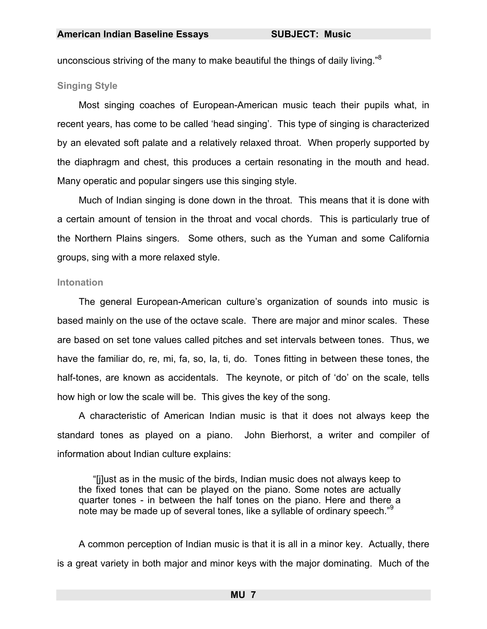<span id="page-8-0"></span>unconscious striving of the many to make beautiful the things of daily living."<sup>8</sup>

### **Singing Style**

Most singing coaches of European-American music teach their pupils what, in recent years, has come to be called 'head singing'. This type of singing is characterized by an elevated soft palate and a relatively relaxed throat. When properly supported by the diaphragm and chest, this produces a certain resonating in the mouth and head. Many operatic and popular singers use this singing style.

Much of Indian singing is done down in the throat. This means that it is done with a certain amount of tension in the throat and vocal chords. This is particularly true of the Northern Plains singers. Some others, such as the Yuman and some California groups, sing with a more relaxed style.

### **Intonation**

The general European-American culture's organization of sounds into music is based mainly on the use of the octave scale. There are major and minor scales. These are based on set tone values called pitches and set intervals between tones. Thus, we have the familiar do, re, mi, fa, so, Ia, ti, do. Tones fitting in between these tones, the half-tones, are known as accidentals. The keynote, or pitch of 'do' on th[e](#page-514-4) scale, tells how high or low the scale will be. This gives the key of the song.

A characteristic of American Indian music is that it does not always keep the standard tones as played on a piano. John Bierhorst, a writer and compiler of information about Indian culture explains:

"[j]ust as in the music of the birds, Indian music does not always keep to the fixed tones that can be played on the piano. Some notes are actually quarter tones - in between the half tones on the piano. Here and there a note may be made up of several tones, like a syllable of ordinary speech."<sup>9</sup>

A common perception of Indian music is that it is all in a minor key. Actually, there is a great variety in both major and minor keys with the major dominating. Much of the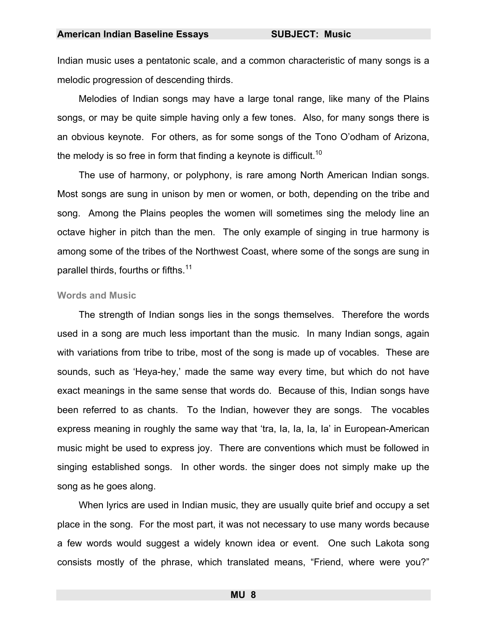<span id="page-9-0"></span>Indian music uses a pentatonic scale, and a common characteristic of many songs is a melodic progression of descending thirds.

Melodies of Indian songs may have a large tonal range, like many of the Plains songs, or may be quite simple having only a few tones. Also, for many songs there is an obvious keynote. For others, as for some songs of the Tono O'odham of Arizona, the melody is so free in form that finding a keynote is difficult.<sup>10</sup>

The use of harmony, or polyphony, is rare among North American Indian songs. Most songs are sung in unison by men or women, or both, depending on the tribe and song. Among the Plains peoples the women will sometimes sing the melody line an octave higher in pitch than the men. The only example of singing in true harmony is among some of the tribes of the Northwest Coast, where some of the songs are sung in parallel thirds, fourths or fifths.<sup>11</sup>

#### **Words and Music**

The strength of Indian songs lies in the songs themselves. Therefore the words used in a song are much less important than the music. In many Indian songs, again with variations from tribe to tribe, most of the song is made up of vocables. These are sounds, such as 'Heya-hey,' made the same way every time, but which do [n](#page-514-5)ot have exact meanings in the same sense that words do. Because of this, Indian songs have been referred to as chants. To the Indian, however they are songs. The vocables express meaning in roughly the same way that 'tra, Ia, Ia, Ia, Ia' in European-American music might be used to express joy. There are conventions which must be followed in singing established songs. In other words. the singer does not simply make up the song as he goes along.

When lyrics are used in Indian music, they are usually quite brief and occupy a set place in the song. For the most part, it was not necessary to use many words because a few words would suggest a widely known idea or event. One such Lakota song consists mostly of the phrase, which translated means, "Friend, where were you?"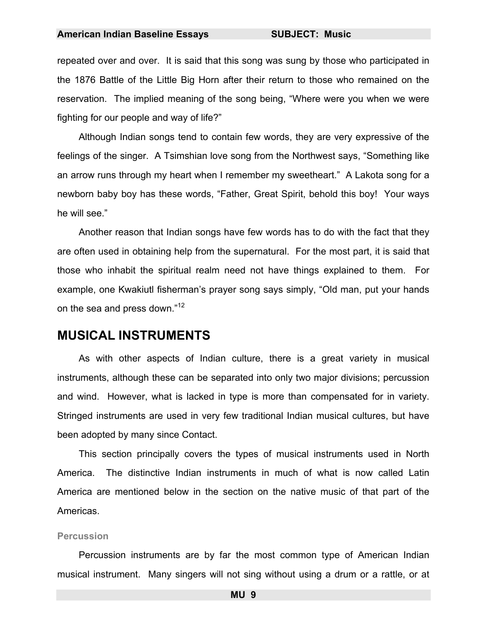#### <span id="page-10-0"></span>**American Indian Baseline Essays SUBJECT: Music**

repeated over and over. It is said that this song was sung by those who participated in the 1876 Battle of the Little Big Horn after their return to those who remained on the reservation. The implied meaning of the song being, "Where were you when we were fighting for our people and way of life?"

Although Indian songs tend to contain few words, they are very expressive of the feelings of the singer. A Tsimshian love song from the Northwest says, "Something like an arrow runs through my heart when I remember my sweetheart." A Lakota song for a newborn baby boy has these words, "Father, Great Spirit, behold this boy! Your ways he will see."

Another reason that Indian songs have few words has to do with the fact that they are often used in obtaining help from the supernatural. For the most part, it is said that those who inhabit the spiritual realm need not have things explained to them. For example, one Kwakiutl fisherman's prayer song says simply, "Old man, put your hands on the sea and press down."<sup>12</sup>

## **MUSICAL INSTRUMENTS**

As with other aspects of Indian culture, there is a great variety in musical instruments, although these can be separated into only two major divisions; percussion and wind. However, what is lacked in type is more than compensated for in variety. Stringed instruments are used in very few traditional Indian musical cultures, but have been adopted by many since Contact.

This section principally covers the types of musical instruments used in North America. The distinctive Indian instruments in much of what is now called Latin America are mentioned below in the section on the native music of that part of the Americas.

#### **Percussion**

Percussion instruments are by far the most common type of American Indian musical instrument. Many singers will not sing without using a drum or a rattle, or at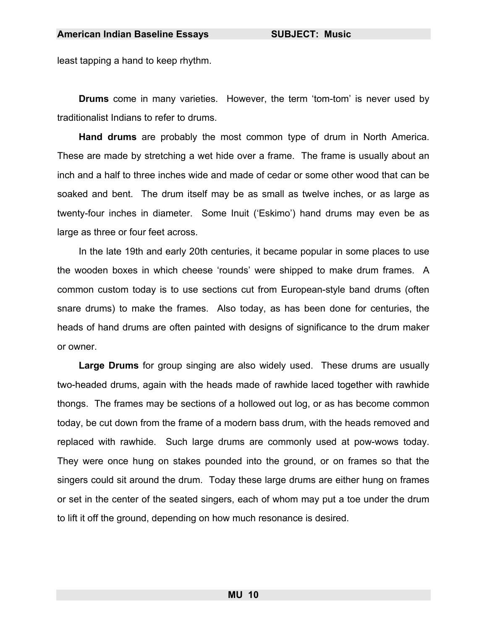least tapping a hand to keep rhythm.

 **Drums** come in many varieties. However, the term 'tom-tom' is never used by traditionalist Indians to refer to drums.

**Hand drums** are probably the most common type of drum in North America. These are made by stretching a wet hide over a frame. The frame is usually about an inch and a half to three inches wide and made of cedar or some other wood that can be soaked and bent. The drum itself may be as small as twelve inches, or as large as twenty-four inches in diameter. Some Inuit ('Eskimo') hand drums may even be as large as three or four feet across.

In the late 19th and early 20th centuries, it became popular in some places to use the wooden boxes in which cheese 'rounds' were shipped to make drum frames. A common custom today is to use sections cut from European-style band drums (often snare drums) to make the frames. Also today, as has been done for centuries, the heads of hand drums are often painted with designs of significance to the drum maker or owner.

 **Large Drums** for group singing are also widely used. These drums are usually two-headed drums, again with the heads made of rawhide laced together with rawhide thongs. The frames may be sections of a hollowed out log, or as has become common today, be cut down from the frame of a modern bass drum, with the heads removed and replaced with rawhide. Such large drums are commonly used at pow-wows today. They were once hung on stakes pounded into the ground, or on frames so that the singers could sit around the drum. Today these large drums are either hung on frames or set in the center of the seated singers, each of whom may put a toe under the drum to lift it off the ground, depending on how much resonance is desired.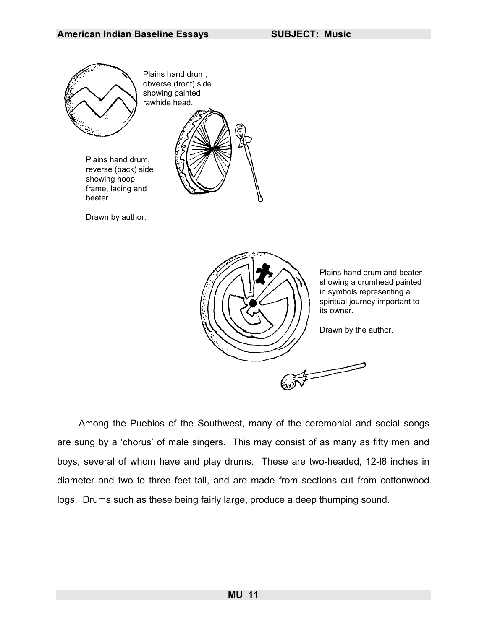#### <span id="page-12-0"></span>**American Indian Baseline Essays SUBJECT: Music**



Plains hand drum, obverse (front) side showing painted rawhide head.

Plains hand drum, reverse (back) side showing hoop frame, lacing and beater.



Drawn by author.



showing a drumhead painted in symbols representing a spiritual journey important to

Drawn by the author.

Among the Pueblos of the Southwest, many of the ceremonial and social songs are sung by a 'chorus' of male singers. This may consist of as many as fifty men and boys, several of whom have and play drums. These are two-headed, 12-l8 inches in diameter and two to three feet tall, and are made from sections cut from cottonwood logs. Drums such as these being fairly large, produce a deep thumping sound.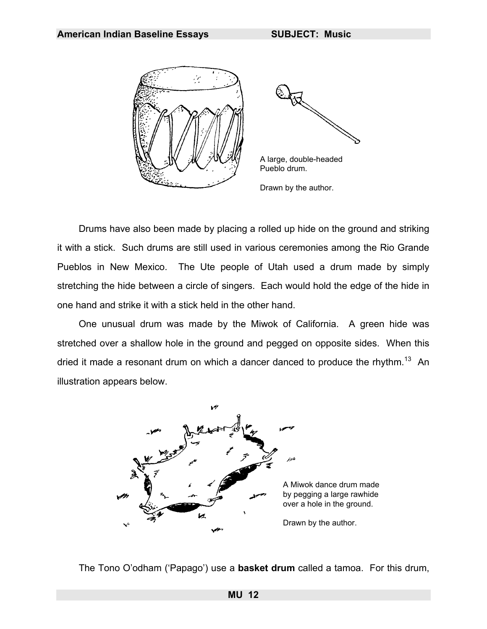



A large, double-headed Pueblo drum.

Drawn by the author.

Drums have also been made by placing a rolled up hide on the ground and striking it with a stick. Such drums are still used in various ceremonies among the Rio Grande Pueblos in New Mexico. The Ute people of Utah used a drum made by simply stretching the hide between a circle of singers. Each would hold the edge of the hide in one hand and strike it with a stick held in the other hand.

One unusual drum was made by the Miwok of California. A green hide was stretched over a shallow hole in the ground and pegged on opposite sides. When this dried it made a resonant drum on which a dancer danced to produce the rhythm.<sup>13</sup> An illustration appears below.



The Tono O'odham ('Papago') use a **basket drum** called a tamoa. For this drum,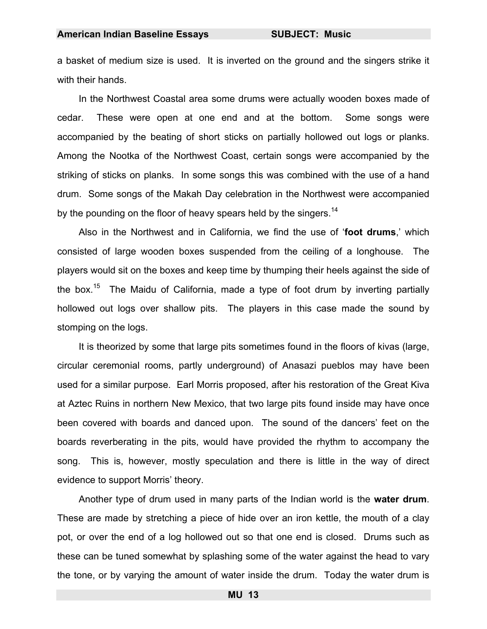a basket of medium size is used. It is inverted on the ground and the singers strike it with their hands.

In the Northwest Coastal area some drums were actually wooden boxes made of cedar. These were open at one end and at the bottom. Some songs were accompanied by the beating of short sticks on partially hollowed out logs or planks. Among the Nootka of the Northwest Coast, certain songs were accompanied by the striking of sticks on planks. In some songs this was combined with the use of a hand drum. Some songs of the Makah Day celebration in the Northwest were accompanied by the pounding on the floor of heavy spears held by the singers.<sup>14</sup>

Also in the Northwest and in California, we find the use of '**foot drums**,' which consisted of large wooden boxes suspended from the ceiling of a longhouse. The players would sit on the boxes and keep time by thumping their heels against the side of the box.<sup>15</sup> The Maidu of California, made a type of foot drum by inverting partially hollowed out logs over shallow pits. The players in this case made the sound by stomping on the logs.

It is theorized by some that large pits sometimes found in the floors of kivas (large, circular ceremonial rooms, partly underground) of Anasazi pueblos may have been used for a similar purpose. Earl Morris proposed, after his restoration of the Great Kiva at Aztec Ruins in northern New Mexico, that two large pits found inside may have once been covered with boards and danced upon. The sound of the dancers' feet on the boards reverberating in the pits, would have provided the rhythm to accompany the song. This is, however, mostly speculation and there is little in the way of direct evidence to support Morris' theory.

Another type of drum used in many parts of the Indian world is the **water drum**. These are made by stretching a piece of hide over an iron kettle, the mouth of a clay pot, or over the end of a log hollowed out so that one end is closed. Drums such as these can be tuned somewhat by splashing some of the water against the head to vary the tone, or by varying the amount of water inside the drum. Today the water drum is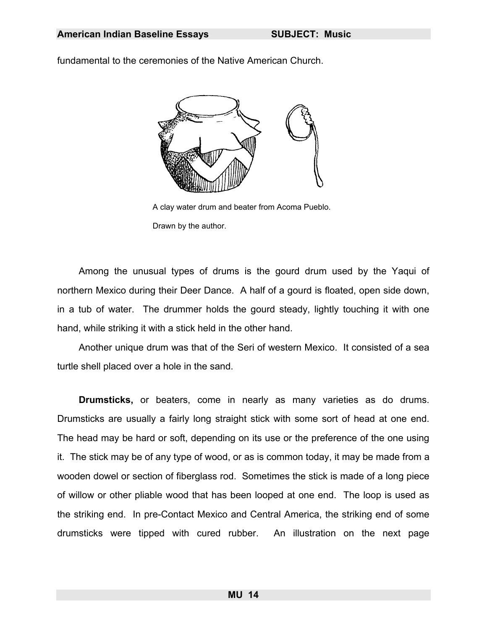fundamental to the ceremonies of the Native American Church.



A clay water drum and beater from Acoma Pueblo. Drawn by the author.

Among the unusual types of drums is the gourd drum used by the Yaqui of northern Mexico during their Deer Dance. A half of a gourd is floated, open side down, in a tub of water. The drummer holds the gourd steady, lightly touching it with one hand, while striking it with a stick held in the other hand.

Another unique drum was that of the Seri of western Mexico. It consisted of a sea turtle shell placed over a hole in the sand.

 **Drumsticks,** or beaters, come in nearly as many varieties as do drums. Drumsticks are usually a fairly long straight stick with some sort of head at one end. The head may be hard or soft, depending on its use or the preference of the one using it. The stick may be of any type of wood, or as is common today, it may be made from a wooden dowel or section of fiberglass rod. Sometimes the stick is made of a long piece of willow or other pliable wood that has been looped at one end. The loop is used as the striking end. In pre-Contact Mexico and Central America, the striking end of some drumsticks were tipped with cured rubber. An illustration on the next page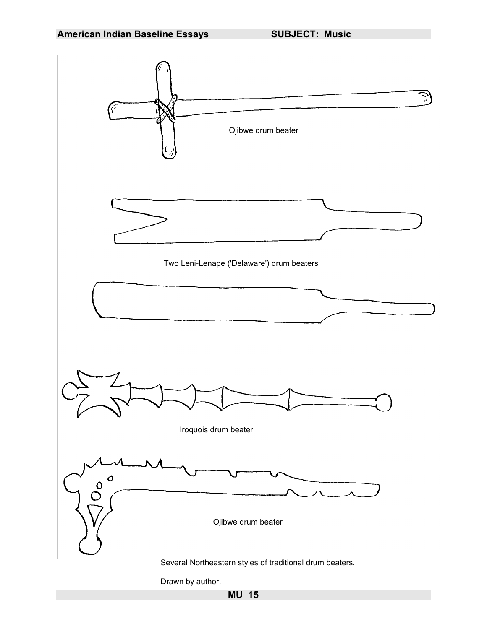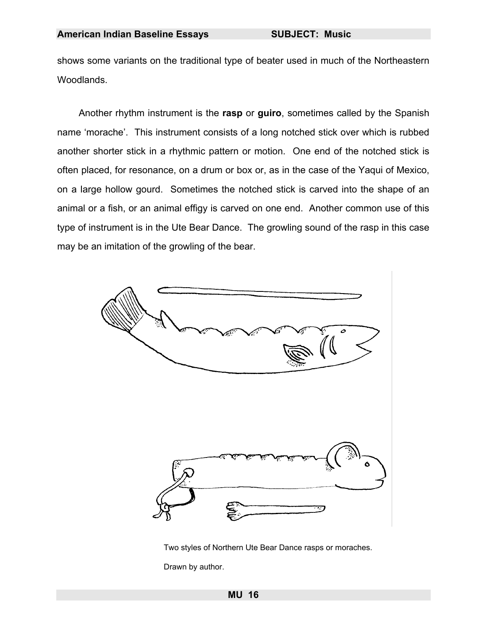shows some variants on the traditional type of beater used in much of the Northeastern Woodlands.

Another rhythm instrument is the **rasp** or **guiro**, sometimes called by the Spanish name 'morache'. This instrument consists of a long notched stick over which is rubbed another shorter stick in a rhythmic pattern or motion. One end of the notched stick is often placed, for resonance, on a drum or box or, as in the case of the Yaqui of Mexico, on a large hollow gourd. Sometimes the notched stick is carved into the shape of an animal or a fish, or an animal effigy is carved on one end. Another common use of this type of instrument is in the Ute Bear Dance. The growling sound of the rasp in this case may be an imitation of the growling of the bear.





Two styles of Northern Ute Bear Dance rasps or moraches.

Drawn by author.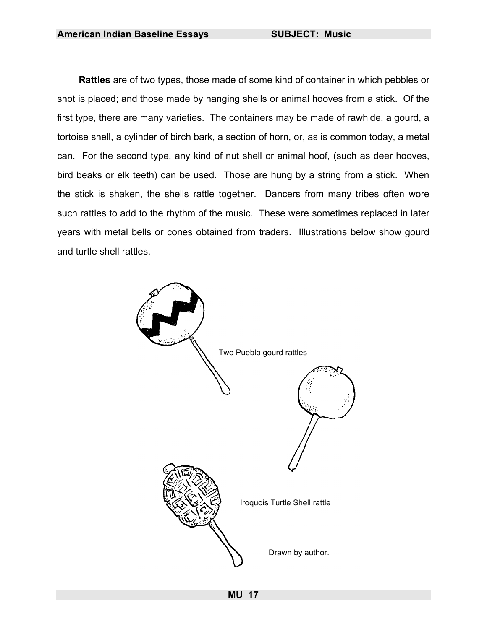**Rattles** are of two types, those made of some kind of container in which pebbles or shot is placed; and those made by hanging shells or animal hooves from a stick. Of the first type, there are many varieties. The containers may be made of rawhide, a gourd, a tortoise shell, a cylinder of birch bark, a section of horn, or, as is common today, a metal can. For the second type, any kind of nut shell or animal hoof, (such as deer hooves, bird beaks or elk teeth) can be used. Those are hung by a string from a stick. When the stick is shaken, the shells rattle together. Dancers from many tribes often wore such rattles to add to the rhythm of the music. These were sometimes replaced in later years with metal bells or cones obtained from traders. Illustrations below show gourd and turtle shell rattles.

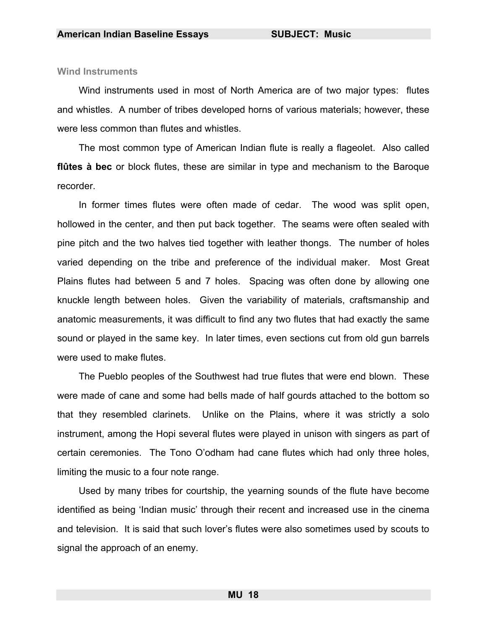**Wind Instruments** 

Wind instruments used in most of North America are of two major types: flutes and whistles. A number of tribes developed horns of various materials; however, these were less common than flutes and whistles.

The most common type of American Indian flute is really a flageolet. Also called **flûtes à bec** or block flutes, these are similar in type and mechanism to the Baroque recorder.

In former times flutes were often made of cedar. The wood was split open, hollowed in the center, and then put back together. The seams were often sealed with pine pitch and the two halves tied together with leather thongs. The number of holes varied depending on the tribe and preference of the individual maker. Most Great Plains flutes had between 5 and 7 holes. Spacing was often done by allowing one knuckle length between holes. Given the variability of materials, craftsmanship and anatomic measurements, it was difficult to find any two flutes that had exactly the same sound or played in the same key. In later times, even sections cut from old gun barrels were used to make flutes.

The Pueblo peoples of the Southwest had true flutes that were end blown. These were made of cane and some had bells made of half gourds attached to the bottom so that they resembled clarinets. Unlike on the Plains, where it was strictly a solo instrument, among the Hopi several flutes were played in unison with singers as part of certain ceremonies. The Tono O'odham had cane flutes which had only three holes, limiting the music to a four note range.

Used by many tribes for courtship, the yearning sounds of the flute have become identified as being 'Indian music' through their recent and increased use in the cinema and television. It is said that such lover's flutes were also sometimes used by scouts to signal the approach of an enemy.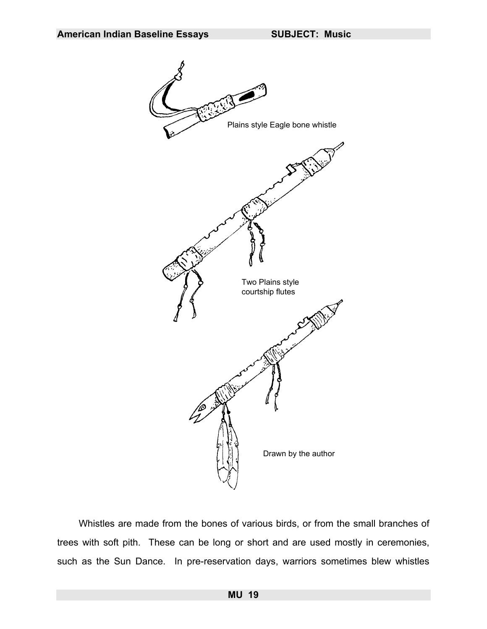

Whistles are made from the bones of various birds, or from the small branches of trees with soft pith. These can be long or short and are used mostly in ceremonies, such as the Sun Dance. In pre-reservation days, warriors sometimes blew whistles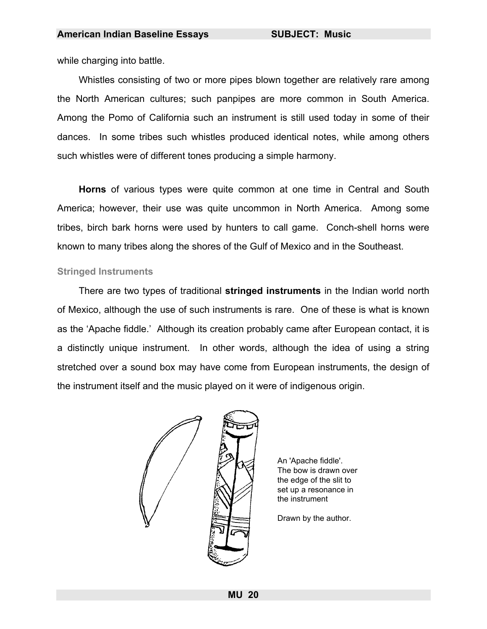<span id="page-21-0"></span>while charging into battle.

Whistles consisting of two or more pipes blown together are relatively rare among the North American cultures; such panpipes are more common in South America. Among the Pomo of California such an instrument is still used today in some of their dances. In some tribes such whistles produced identical notes, while among others such whistles were of different tones producing a simple harmony.

 **Horns** of various types were quite common at one time in Central and South America; however, their use was quite uncommon in North America. Among some tribes, birch bark horns were used by hunters to call game. Conch-shell horns were known to many tribes along the shores of the Gulf of Mexico and in the Southeast.

### **Stringed Instruments**

There are two types of traditional **stringed instruments** in the Indian world north of Mexico, although the use of such instruments is rare. One of these is what is known as the 'Apache fiddle.' Although its creation probably came after European contact, it is a distinctly unique instrument. In other words, although the idea of using a string stretched over a sound box may have come from European instruments, the design of the instrument itself and the music played on it were of indigenous origin.



An 'Apache fiddle'. The bow is drawn over the edge of the slit to set up a resonance in the instrument

Drawn by the author.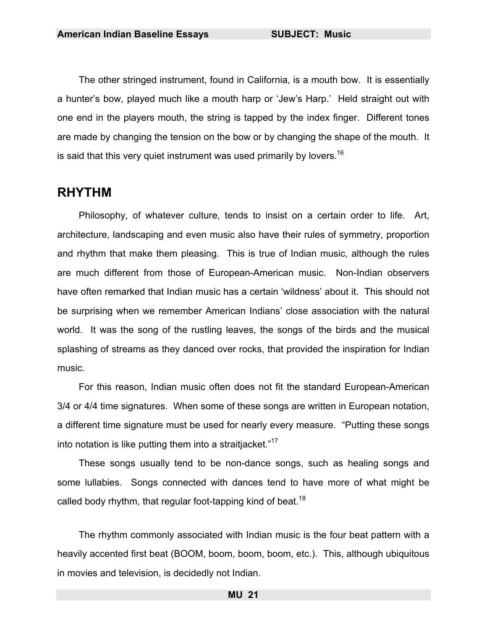The other stringed instrument, found in California, is a mouth bow. It is essentially a hunter's bow, played much like a mouth harp or 'Jew's Harp.' Held straight out with one end in the players mouth, the string is tapped by the index finger. Different tones are made by changing the tension on the bow or by changing the shape of the mouth. It is said that this very quiet instrument was used primarily by lovers.<sup>16</sup>

## **RHYTHM**

Philosophy, of whatever culture, tends to insist on a certain order to life. Art, architecture, landscaping and even music also have their rules of symmetry, proportion and rhythm that make them pleasing. This is true of Indian music, although the rules are much different from those of European-American music. Non-Indian observers have often remarked that Indian music has a certain 'wildness' about it. This should not be surprising when we remember American Indians' close association with the natural world. It was the song of the rustling leaves, the songs of the birds and the musical splashing of streams as they danced over rocks, that provided the inspiration for Indian music.

For this reason, Indian music often does not fit the standard European-American 3/4 or 4/4 time signatures. When some of these songs are written in European notation, a different time signature must be used for nearly every measure. "Putting these songs into notation is like putting them into a straitjacket."17

These songs usually tend to be non-dance songs, such as healing songs and some lullabies. Songs connected with dances tend to have more of what might be called body rhythm, that regular foot-tapping kind of beat.<sup>18</sup>

The rhythm commonly associated with Indian music is the four beat pattern with a heavily accented first beat (BOOM, boom, boom, boom, etc.). This, although ubiquitous in movies and television, is decidedly not Indian.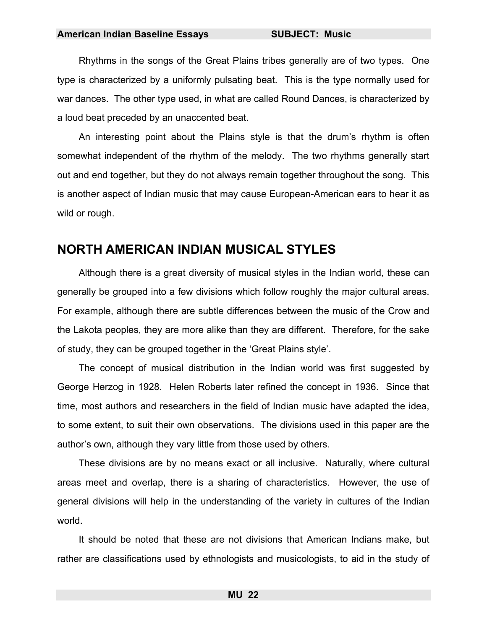Rhythms in the songs of the Great Plains tribes generally are of two types. One type is characterized by a uniformly pulsating beat. This is the type normally used for war dances. The other type used, in what are called Round Dances, is characterized by a loud beat preceded by an unaccented beat.

An interesting point about the Plains style is that the drum's rhythm is often somewhat independent of the rhythm of the melody. The two rhythms generally start out and end together, but they do not always remain together throughout the song. This is another aspect of Indian music that may cause European-American ears to hear it as wild or rough.

## **NORTH AMERICAN INDIAN MUSICAL STYLES**

Although there is a great diversity of musical styles in the Indian world, these can generally be grouped into a few divisions which follow roughly the major cultural areas. For example, although there are subtle differences between the music of the Crow and the Lakota peoples, they are more alike than they are different. Therefore, for the sake of study, they can be grouped together in the 'Great Plains style'.

The concept of musical distribution in the Indian world was first suggested by George Herzog in 1928. Helen Roberts later refined the concept in 1936. Since that time, most authors and researchers in the field of Indian music have adapted the idea, to some extent, to suit their own observations. The divisions used in this paper are the author's own, although they vary little from those used by others.

These divisions are by no means exact or all inclusive. Naturally, where cultural areas meet and overlap, there is a sharing of characteristics. However, the use of general divisions will help in the understanding of the variety in cultures of the Indian world.

It should be noted that these are not divisions that American Indians make, but rather are classifications used by ethnologists and musicologists, to aid in the study of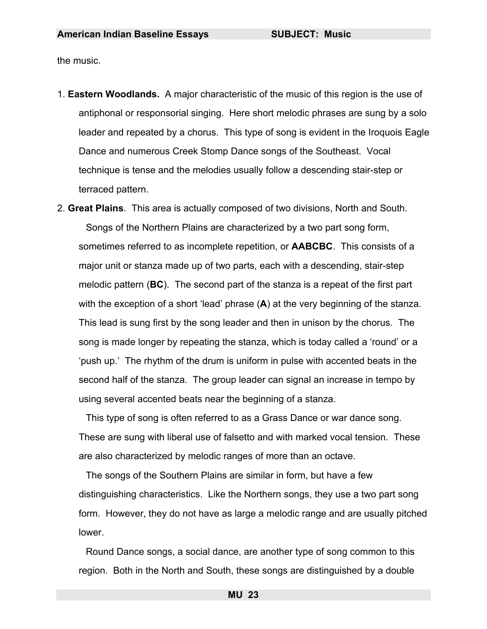<span id="page-24-0"></span>the music.

- 1. **Eastern Woodlands.** A major characteristic of the music of this region is the use of antiphonal or responsorial singing. Here short melodic phrases are sung by a solo leader and repeated by a chorus. This type of song is evident in the Iroquois Eagle Dance and numerous Creek Stomp Dance songs of the Southeast. Vocal technique is tense and the melodies usually follow a descending stair-step or terraced pattern.
- 2. **Great Plains**. This area is actually composed of two divisions, North and South. Songs of the Northern Plains are characterized by a two part song form, sometimes referred to as incomplete repetition, or **AABCBC**. This consists of a major unit or stanza made up of two parts, each with a descending, stair-step melodic pattern (**BC**). The second part of the stanza is a repeat of the first part with the exception of a short 'lead' phrase (A) at the very beginning of the stanza. This lead is sung first by the song leader and then in unison by the chorus. The song is made longer by repeating the stanza, which is today called a 'round' or a 'push up.' The rhythm of the drum is uniform in pulse with accented beats in the second half of the stanza. The group leader can signal an increase in tempo by using several accented beats near the beginning of a stanza.

This type of song is often referred to as a Grass Dance or war dance song. These are sung with liberal use of falsetto and with marked vocal tension. These are also characterized by melodic ranges of more than an octave.

The songs of the Southern Plains are similar in form, but have a few distinguishing characteristics. Like the Northern songs, they use a two part song form. However, they do not have as large a melodic range and are usually pitched lower.

Round Dance songs, a social dance, are another type of song common to this region. Both in the North and South, these songs are distinguished by a double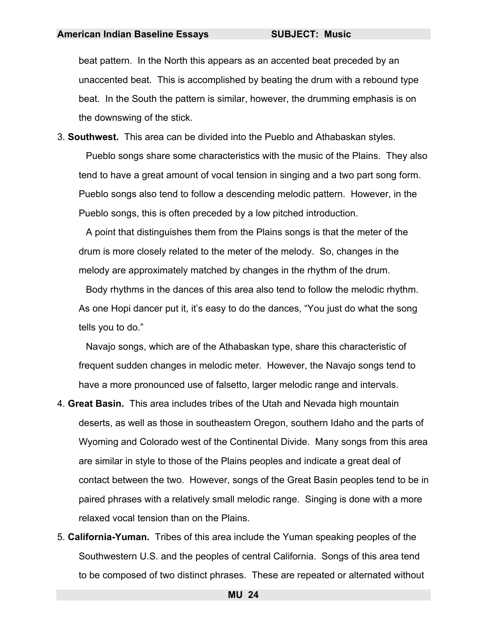<span id="page-25-0"></span> beat pattern. In the North this appears as an accented beat preceded by an unaccented beat. This is accomplished by beating the drum with a rebound type beat. In the South the pattern is similar, however, the drumming emphasis is on the downswing of the stick.

3. **Southwest.** This area can be divided into the Pueblo and Athabaskan styles.

Pueblo songs share some characteristics with the music of the Plains. They also tend to have a great amount of vocal tension in singing and a two part song form. Pueblo songs also tend to follow a descending melodic pattern. However, in the Pueblo songs, this is often preceded by a low pitched introduction.

A point that distinguishes them from the Plains songs is that the meter of the drum is more closely related to the meter of the melody. So, changes in the melody are approximately matched by changes in the rhythm of the drum.

Body rhythms in the dances of this area also tend to follow the melodic rhythm. As one Hopi dancer put it, it's easy to do the dances, "You just do what the song tells you to do."

Navajo songs, which are of the Athabaskan type, share this characteristic of frequent sudden changes in melodic meter. However, the Navajo songs tend to have a more pronounced use of falsetto, larger melodic range and intervals.

- 4. **Great Basin.** This area includes tribes of the Utah and Nevada high mountain deserts, as well as those in southeastern Oregon, southern Idaho and the parts of Wyoming and Colorado west of the Continental Divide. Many songs from this area are similar in style to those of the Plains peoples and indicate a great deal of contact between the two. However, songs of the Great Basin peoples tend to be in paired phrases with a relatively small melodic range. Singing is done with a more relaxed vocal tension than on the Plains.
- 5. **California-Yuman.** Tribes of this area include the Yuman speaking peoples of the Southwestern U.S. and the peoples of central California. Songs of this area tend to be composed of two distinct phrases. These are repeated or alternated without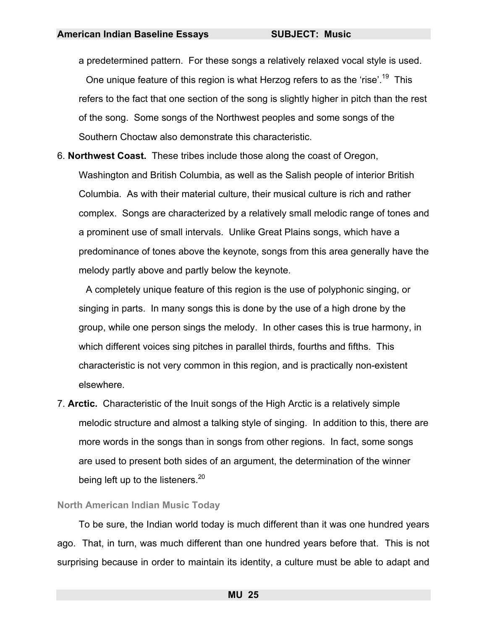<span id="page-26-0"></span> a predetermined pattern. For these songs a relatively relaxed vocal style is used. One unique feature of this region is what Herzog refers to as the 'rise'.<sup>19</sup> This refers to the fact that one section of the song is slightly higher in pitch than the rest of the song. Some songs of the Northwest peoples and some songs of the Southern Choctaw also demonstrate this characteristic.

6. **Northwest Coast.** These tribes include those along the coast of Oregon,

Washington and British Columbia, as well as the Salish people of interior British Columbia. As with their material culture, their musical culture is rich and rather complex. Songs are characterized by a relatively small melodic range of tones and a prominent use of small intervals. Unlike Great Plains songs, which have a predominance of tones above the keynote, songs from this area generally have the melody partly above and partly below the keynote.

A completely unique feature of this region is the use of polyphonic singing, or singing in parts. In many songs this is done by the use of a high drone by the group, while one person sings the melody. In other cases this is true harmony, in which different voices sing pitches in parallel thirds, fourths and fifths. This characteristic is not very common in this region, and is practically non-existent elsewhere.

7. **Arctic.** Characteristic of the Inuit songs of the High Arctic is a relatively simple melodic structure and almost a talking style of singing. In addition to this, there are more words in the songs than in songs from other regions. In fact, some songs are used to present both sides of an argument, the determination of the winner being left up to the listeners. $20$ 

### **North American Indian Music Today**

To be sure, the Indian world today is much different than it was one hundred years ago. That, in turn, was much different than one hundred years before that. This is not surprising because in order to maintain its identity, a culture must be able to adapt and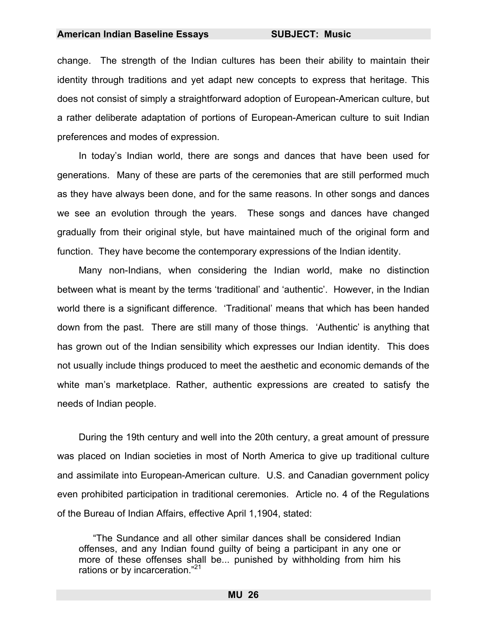#### **American Indian Baseline Essays SUBJECT: Music**

change. The strength of the Indian cultures has been their ability to maintain their identity through traditions and yet adapt new concepts to express that heritage. This does not consist of simply a straightforward adoption of European-American culture, but a rather deliberate adaptation of portions of European-American culture to suit Indian preferences and modes of expression.

In today's Indian world, there are songs and dances that have been used for generations. Many of these are parts of the ceremonies that are still performed much as they have always been done, and for the same reasons. In other songs and dances we see an evolution through the years. These songs and dances have changed gradually from their original style, but have maintained much of the original form and function. They have become the contemporary expressions of the Indian identity.

Many non-Indians, when considering the Indian world, make no distinction between what is meant by the terms 'traditional' and 'authentic'. However, in the Indian world there is a significant difference. 'Traditional' means that which has been handed down from the past. There are still many of those things. 'Authentic' is anything that has grown out of the Indian sensibility which expresses our Indian identity. This does not usually include things produced to meet the aesthetic and economic demands of the white man's marketplace. Rather, authentic expressions are created to satisfy the needs of Indian people.

During the 19th century and well into the 20th century, a great amount of pressure was placed on Indian societies in most of North America to give up traditional culture and assimilate into European-American culture. U.S. and Canadian government policy even prohibited participation in traditional ceremonies. Article no. 4 of the Regulations of the Bureau of Indian Affairs, effective April 1,1904, stated:

"The Sundance and all other similar dances shall be considered Indian offenses, and any Indian found guilty of being a participant in any one or more of these offenses shall be... punished by withholding from him his rations or by incarceration."<sup>21</sup>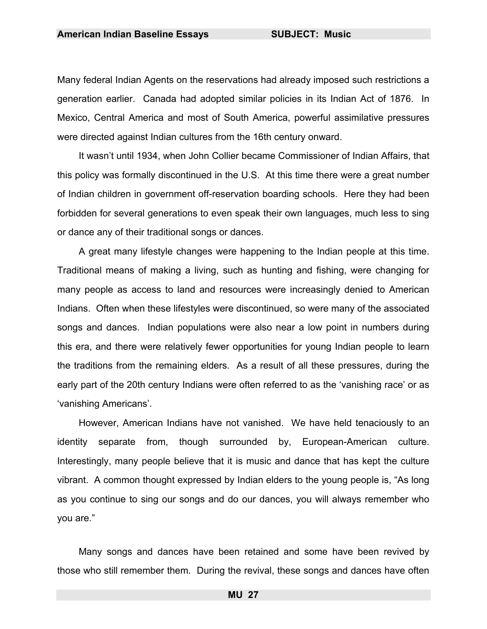Many federal Indian Agents on the reservations had already imposed such restrictions a generation earlier. Canada had adopted similar policies in its Indian Act of 1876. In Mexico, Central America and most of South America, powerful assimilative pressures were directed against Indian cultures from the 16th century onward.

It wasn't until 1934, when John Collier became Commissioner of Indian Affairs, that this policy was formally discontinued in the U.S. At this time there were a great number of Indian children in government off-reservation boarding schools. Here they had been forbidden for several generations to even speak their own languages, much less to sing or dance any of their traditional songs or dances.

A great many lifestyle changes were happening to the Indian people at this time. Traditional means of making a living, such as hunting and fishing, were changing for many people as access to land and resources were increasingly denied to American Indians. Often when these lifestyles were discontinued, so were many of the associated songs and dances. Indian populations were also near a low point in numbers during this era, and there were relatively fewer opportunities for young Indian people to learn the traditions from the remaining elders. As a result of all these pressures, during the early part of the 20th century Indians were often referred to as the 'vanishing race' or as 'vanishing Americans'.

However, American Indians have not vanished. We have held tenaciously to an identity separate from, though surrounded by, European-American culture. Interestingly, many people believe that it is music and dance that has kept the culture vibrant. A common thought expressed by Indian elders to the young people is, "As long as you continue to sing our songs and do our dances, you will always remember who you are."

Many songs and dances have been retained and some have been revived by those who still remember them. During the revival, these songs and dances have often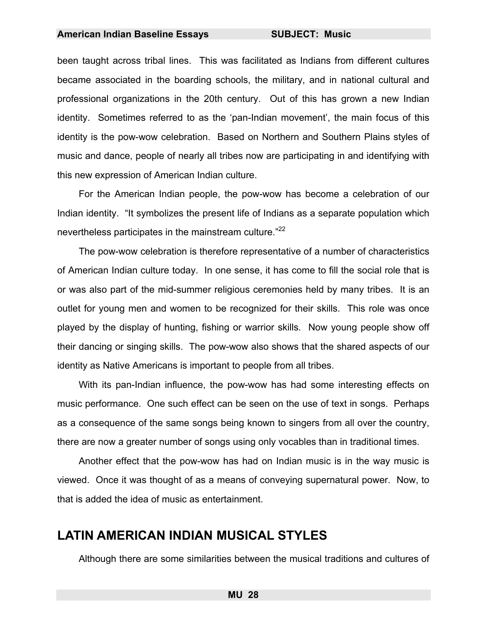been taught across tribal lines. This was facilitated as Indians from different cultures became associated in the boarding schools, the military, and in national cultural and professional organizations in the 20th century. Out of this has grown a new Indian identity. Sometimes referred to as the 'pan-Indian movement', the main focus of this identity is the pow-wow celebration. Based on Northern and Southern Plains styles of music and dance, people of nearly all tribes now are participating in and identifying with this new expression of American Indian culture.

For the American Indian people, the pow-wow has become a celebration of our Indian identity. "It symbolizes the present life of Indians as a separate population which nevertheless participates in the mainstream culture."<sup>22</sup>

The pow-wow celebration is therefore representative of a number of characteristics of American Indian culture today. In one sense, it has come to fill the social role that is or was also part of the mid-summer religious ceremonies held by many tribes. It is an outlet for young men and women to be recognized for their skills. This role was once played by the display of hunting, fishing or warrior skills. Now young people show off their dancing or singing skills. The pow-wow also shows that the shared aspects of our identity as Native Americans is important to people from all tribes.

With its pan-Indian influence, the pow-wow has had some interesting effects on music performance. One such effect can be seen on the use of text in songs. Perhaps as a consequence of the same songs being known to singers from all over the country, there are now a greater number of songs using only vocables than in traditional times.

Another effect that the pow-wow has had on Indian music is in the way music is viewed. Once it was thought of as a means of conveying supernatural power. Now, to that is added the idea of music as entertainment.

## **LATIN AMERICAN INDIAN MUSICAL STYLES**

Although there are some similarities between the musical traditions and cultures of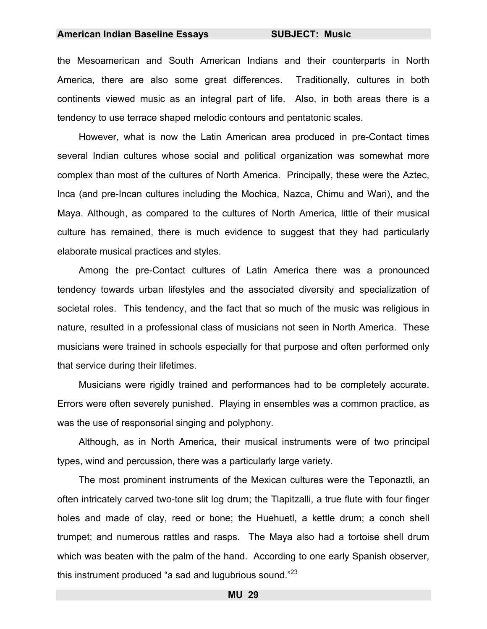#### **American Indian Baseline Essays SUBJECT: Music**

the Mesoamerican and South American Indians and their counterparts in North America, there are also some great differences. Traditionally, cultures in both continents viewed music as an integral part of life. Also, in both areas there is a tendency to use terrace shaped melodic contours and pentatonic scales.

However, what is now the Latin American area produced in pre-Contact times several Indian cultures whose social and political organization was somewhat more complex than most of the cultures of North America. Principally, these were the Aztec, Inca (and pre-Incan cultures including the Mochica, Nazca, Chimu and Wari), and the Maya. Although, as compared to the cultures of North America, little of their musical culture has remained, there is much evidence to suggest that they had particularly elaborate musical practices and styles.

Among the pre-Contact cultures of Latin America there was a pronounced tendency towards urban lifestyles and the associated diversity and specialization of societal roles. This tendency, and the fact that so much of the music was religious in nature, resulted in a professional class of musicians not seen in North America. These musicians were trained in schools especially for that purpose and often performed only that service during their lifetimes.

Musicians were rigidly trained and performances had to be completely accurate. Errors were often severely punished. Playing in ensembles was a common practice, as was the use of responsorial singing and polyphony.

Although, as in North America, their musical instruments were of two principal types, wind and percussion, there was a particularly large variety.

The most prominent instruments of the Mexican cultures were the Teponaztli, an often intricately carved two-tone slit log drum; the Tlapitzalli, a true flute with four finger holes and made of clay, reed or bone; the Huehuetl, a kettle drum; a conch shell trumpet; and numerous rattles and rasps. The Maya also had a tortoise shell drum which was beaten with the palm of the hand. According to one early Spanish observer, this instrument produced "a sad and lugubrious sound."<sup>23</sup>

**MU 29**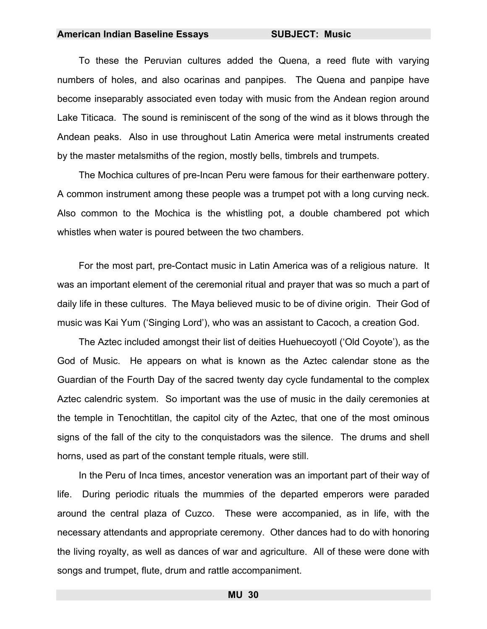### <span id="page-31-0"></span>**American Indian Baseline Essays SUBJECT: Music**

 To these the Peruvian cultures added the Quena, a reed flute with varying numbers of holes, and also ocarinas and panpipes. The Quena and panpipe have become inseparably associated even today with music from the Andean region around Lake Titicaca. The sound is reminiscent of the song of the wind as it blows through the Andean peaks. Also in use throughout Latin America were metal instruments created by the master metalsmiths of the region, mostly bells, timbrels and trumpets.

The Mochica cultures of pre-Incan Peru were famous for their earthenware pottery. A common instrument among these people was a trumpet pot with a long curving neck. Also common to the Mochica is the whistling pot, a double chambered pot which whistles when water is poured between the two chambers.

For the most part, pre-Contact music in Latin America was of a religious nature. It was an important element of the ceremonial ritual and prayer that was so much a part of daily life in these cultures. The Maya believed music to be of divine origin. Their God of music was Kai Yum ('Singing Lord'), who was an assistant to Cacoch, a creation God.

The Aztec included amongst their list of deities Huehuecoyotl ('Old Coyote'), as the God of Music. He appears on what is known as the Aztec calendar stone as the Guardian of the Fourth Day of the sacred twenty day cycle fundamental to the complex Aztec calendric system. So important was the use of music in the daily ceremonies at the temple in Tenochtitlan, the capitol city of the Aztec, that one of the most ominous signs of the fall of the city to the conquistadors was the silence. The drums and shell horns, used as part of the constant temple rituals, were still.

In the Peru of Inca times, ancestor veneration was an important part of their way of life. During periodic rituals the mummies of the departed emperors were paraded around the central plaza of Cuzco. These were accompanied, as in life, with the necessary attendants and appropriate ceremony. Other dances had to do with honoring the living royalty, as well as dances of war and agriculture. All of these were done with songs and trumpet, flute, drum and rattle accompaniment.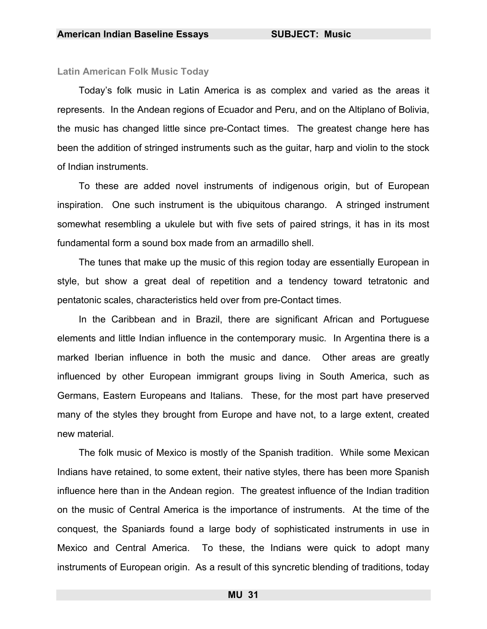**Latin American Folk Music Today**

Today's folk music in Latin America is as complex and varied as the areas it represents. In the Andean regions of Ecuador and Peru, and on the Altiplano of Bolivia, the music has changed little since pre-Contact times. The greatest change here has been the addition of stringed instruments such as the guitar, harp and violin to the stock of Indian instruments.

To these are added novel instruments of indigenous origin, but of European inspiration. One such instrument is the ubiquitous charango. A stringed instrument somewhat resembling a ukulele but with five sets of paired strings, it has in its most fundamental form a sound box made from an armadillo shell.

The tunes that make up the music of this region today are essentially European in style, but show a great deal of repetition and a tendency toward tetratonic and pentatonic scales, characteristics held over from pre-Con[tac](#page-514-7)t times.

In the Caribbean and in Brazil, there are significant African and Portuguese elements and little Indian influence in the contemporary music. In Argentina there is a marked Iberian influence in both the music and dance. Other areas are greatly influenced by other European immigrant groups living in South America, such as Germans, Eastern Europeans and Italians. These, for the most part have preserved many of the styles they brought from Europe and have not, to a large extent, created new material.

The folk music of Mexico is mostly of the Spanish tradition. While some Mexican Indians have retained, to some extent, their native styles, there has been more Spanish influence here than in the Andean region. The greatest influence of the Indian tradition on the music of Central America is the importance of instruments. At the time of the conquest, the Spaniards found a large body of sophisticated instruments in use in Mexico and Central America. To these, the Indians were quick to adopt many instruments of European origin. As a result of this syncretic blending of traditions, today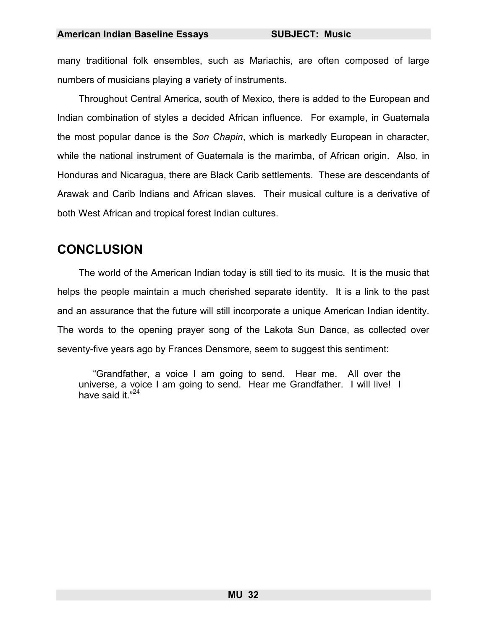many traditional folk ensembles, such as Mariachis, are often composed of large numbers of musicians playing a variety of instruments.

Throughout Central America, south of Mexico, there is added to the European and Indian combination of styles a decided African influence. For example, in Guatemala the most popular dance is the *Son Chapin*, which is markedly European in character, while the national instrument of Guatemala is the marimba, of African origin. Also, in Honduras and Nicaragua, there are Black Carib settlements. These are descendants of Arawak and Carib Indians and African slaves. Their musical culture is a derivative of both West African and tropical forest Indian cultures.

## **CONCLUSION**

The world of the American Indian today is still tied to its music. It is the music that helps the people maintain a much cherished separate identity. It is a link to the past and an assurance that the future will still incorporate a unique American Indian identity. The words to the opening prayer song of the Lakota Sun Dance, as collected over seventy-five years ago by Frances Densmore, seem to suggest this sentiment:

"Grandfather, a voice I am going to send. Hear me. All over the universe, a voice I am going to send. Hear me Grandfather. I will live! I have said it."<sup>24</sup>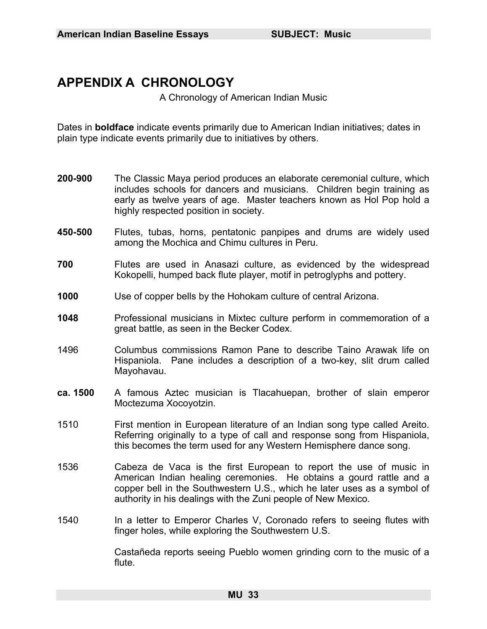## <span id="page-34-0"></span>**APPENDIX A CHRONOLOGY**

A Chronology of American Indian Music

Dates in **boldface** indicate events primarily due to American Indian initiatives; dates in plain type indicate events primarily due to initiatives by others.

- **200-900** The Classic Maya period produces an elaborate ceremonial culture, which includes schools for dancers and musicians. Children begin training as early as twelve years of age. Master teachers known as Hol Pop hold a highly respected position in society.
- **450-500** Flutes, tubas, horns, pentatonic panpipes and drums are widely used among the Mochica and Chimu cultures in Peru.
- **700** Flutes are used in Anasazi culture, as evidenced by the widespread Kokopelli, humped back flute player, motif in petroglyphs and pottery.
- **1000** Use of copper bells by the Hohokam culture of central Arizona.
- **1048** Professional musicians in Mixtec culture perform in commemoration of a great battle, as seen in the Becker Codex.
- 1496 Columbus commissions Ramon Pane to describe Taino Arawak life on Hispaniola. Pane includes a description of a two-key, slit drum called Mayohavau.
- **ca. 1500** A famous Aztec musician is Tlacahuepan, brother of slain emperor Moctezuma Xocoyotzin.
- 1510 First mention in European literature of an Indian song type called Areito. Referring originally to a type of call and response song from Hispaniola, this becomes the term used for any Western Hemisphere dance song.
- 1536 Cabeza de Vaca is the first European to report the use of music in American Indian healing ceremonies. He obtains a gourd rattle and a copper bell in the Southwestern U.S., which he later uses as a symbol of authority in his dealings with the Zuni people of New Mexico.
- 1540 In a letter to Emperor Charles V, Coronado refers to seeing flutes with finger holes, while exploring the Southwestern U.S.

Castañeda reports seeing Pueblo women grinding corn to the music of a flute.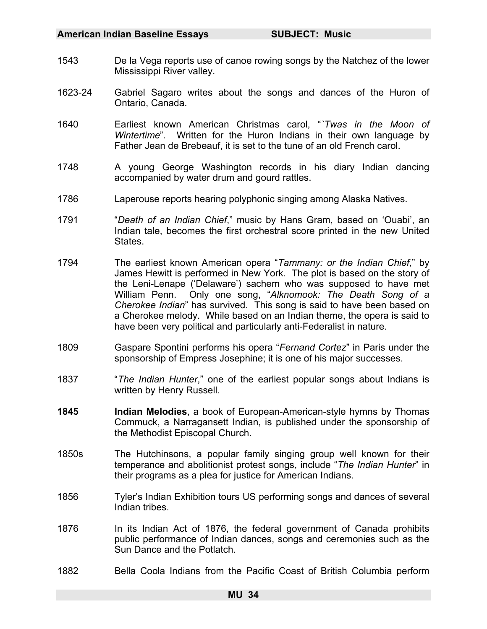- 1543 De la Vega reports use of canoe rowing songs by the Natchez of the lower Mississippi River valley.
- 1623-24 Gabriel Sagaro writes about the songs and dances of the Huron of Ontario, Canada.
- 1640 Earliest known American Christmas carol, "*`Twas in the Moon of Wintertime*". Written for the Huron Indians in their own language by Father Jean de Brebeauf, it is set to the tune of an old French carol.
- 1748 A young George Washington records in his diary Indian dancing accompanied by water drum and gourd rattles.
- 1786 Laperouse reports hearing polyphonic singing among Alaska Natives.
- 1791 "*Death of an Indian Chief*," music by Hans Gram, based on 'Ouabi', an Indian tale, becomes the first orchestral score printed in the new United States.
- 1794 The earliest known American opera "*Tammany: or the Indian Chief*," by James Hewitt is performed in New York. The plot is based on the story of the Leni-Lenape ('Delaware') sachem who was supposed to have met William Penn. Only one song, "*Alknomook: The Death Song of a Cherokee Indian*" has survived. This song is said to have been based on a Cherokee melody. While based on an Indian theme, the opera is said to have been very political and particularly anti-Federalist in nature.
- 1809 Gaspare Spontini performs his opera "*Fernand Cortez*" in Paris under the sponsorship of Empress Josephine; it is one of his major successes.
- 1837 "*The Indian Hunter*," one of the earliest popular songs about Indians is written by Henry Russell.
- **1845 Indian Melodies**, a book of European-American-style hymns by Thomas Commuck, a Narragansett Indian, is published under the sponsorship of the Methodist Episcopal Church.
- 1850s The Hutchinsons, a popular family singing group well known for their temperance and abolitionist protest songs, include "*The Indian Hunter*" in their programs as a plea for justice for American Indians.
- 1856 Tyler's Indian Exhibition tours US performing songs and dances of several Indian tribes.
- 1876 In its Indian Act of 1876, the federal government of Canada prohibits public performance of Indian dances, songs and ceremonies su[ch](#page-514-8) as the Sun Dance and the Potlatch.
- 1882 Bella Coola Indians from the Pacific Coast of British Columbia perform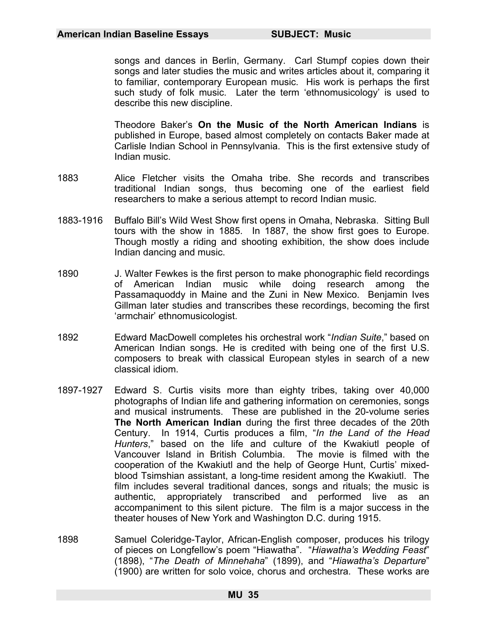songs and dances in Berlin, Germany. Carl Stumpf copies down their songs and later studies the music and writes articles about it, comparing it to familiar, contemporary European music. His work is perhaps the first such study of folk music. Later the term 'ethnomusicology' is used to describe this new discipline.

 Theodore Baker's **On the Music of the North American Indians** is published in Europe, based almost completely on contacts Baker made at Carlisle Indian School in Pennsylvania. This is the first extensive study of Indian music.

- 1883 Alice Fletcher visits the Omaha tribe. She records and transcribes traditional Indian songs, thus becoming one of the earliest field researchers to make a serious attempt to record Indian music.
- 1883-1916 Buffalo Bill's Wild West Show first opens in Omaha, Nebraska. Sitting Bull tours with the show in 1885. In 1887, the show first goes to Europe. Though mostly a riding and shooting exhibition, the show does include Indian dancing and music.
- 1890 J. Walter Fewkes is the first person to make phonographic field recordings of American Indian music while doing research among the Passamaquoddy in Maine and the Zuni in New Mexico. Benjamin Ives Gillman later studies and transcribes these recordings, becoming the first 'armchair' ethnomusicologist.
- 1892 Edward MacDowell completes his orchestral work "*Indian Suite*," based on American Indian songs. He is credited with being one of the first U.S. composers to break with classical European styles in search of a new classical idiom.
- 1897-1927 Edward S. Curtis visits more than eighty tribes, taking over 40,000 photographs of Indian life and gathering information on ceremonies, songs and musical instruments. These are published in the 20-volume series **The North American Indian** during the first three decades of the 20th Century. In 1914, Curtis produces a film, "*In the Land of the Head Hunters*," based on the life and culture of the Kwakiutl people of Vancouver Island in British Columbia. The movie is filmed with the cooperation of the Kwakiutl and the help of George Hunt, Curtis' mixedblood Tsimshian assistant, a long-time resident among the Kwakiutl. The film includes several traditional dances, songs and rituals; the music is authentic, appropriately transcribed and performed live as an accompaniment to this silent picture. The film is a major success in the theater houses of New York and Washington D.C. during 1915.
- 1898 Samuel Coleridge-Taylor, African-English composer, produces his trilogy of pieces on Longfellow's poem "Hiawatha". "*Hiawatha's Wedding Feast*" (1898), "*The Death of Minnehaha*" (1899), and "*Hiawatha's Departure*" (1900) are written for solo voice, chorus and orchestra. These works are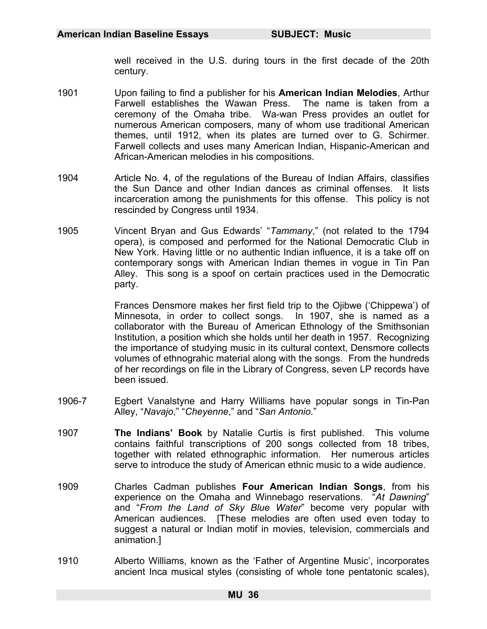well received in the U.S. during tours in the first decade of the 20th century.

- <span id="page-37-0"></span>1901 Upon failing to find a publisher for his **American Indian Melodies**, Arthur Farwell establishes the Wawan Press. The name is taken from a ceremony of the Omaha tribe. Wa-wan Press provides an outlet for numerous American composers, many of whom use traditional American themes, until 1912, when its plates are turned over to G. Schirmer. Farwell collects and uses many American Indian, Hispanic-American and African-American melodies in his compositions.
- 1904 Article No. 4, of the regulations of the Bureau of Indian Affairs, classifies the Sun Dance and other Indian dances as criminal offenses. It lists incarceration among the punishments for this offense. This policy is not rescinded by Congress until 1934.
- 1905 Vincent Bryan and Gus Edwards' "*Tammany*," (not related to the 1794 opera), is composed and performed for the National Democratic Club in New York. Having little or no authentic Indian influence, it is a take off on contemporary songs with American Indian themes in vogue in Tin Pan Alley. This song is a spoof on certain practices used in the Democratic party.

Frances Densmore makes her first field trip to the Ojibwe ('Chippewa') of Minnesota, in order to collect songs. In 1907, she is named as a collaborator with the Bureau of American Ethnology of the Smithsonian Institution, a position which she holds until her death in 1957. Recognizing the importance of studying music in its cultural context, Densmore collects volumes of ethnograhic material along with the songs. From the hundreds of her recordings on file in the Library of Congress, seven LP records have been issued.

- 1906-7 Egbert Vanalstyne and Harry Williams have popular songs in Tin-Pan Alley, "*Navajo*," "*Cheyenne*," and "*San Antonio*."
- 1907 **The Indians' Book** by Natalie Curtis is first published. This volume contains faithful transcriptions of 200 songs collected from 18 tribes, together with related ethnographic information. Her numerous articles serve to introduce the study of American ethnic music to a wide audience.
- 1909 Charles Cadman publishes **Four American Indian Songs**, from his experience on the Omaha and Winnebago reservations. "*At Dawning*" and "*From the Land of Sky Blue Water*" become very popular with American audiences. [These melodies are often used even today to suggest a natural or Indian motif in movies, television, commercials and animation.]
- 1910 Alberto Williams, known as the 'Father of Argentine Music', incorporates ancient Inca musical styles (consisting of whole tone pentatonic scales),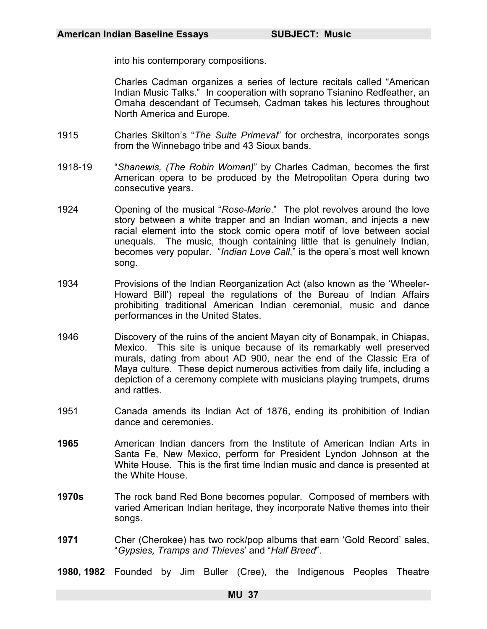into his contemporary compositions.

Charles Cadman organizes a series of lecture recitals called "American Indian Music Talks." In cooperation with soprano Tsianino Redfeather, an Omaha descendant of Tecumseh, Cadman takes his lectures throughout North America and Europe.

- 1915 Charles Skilton's "*The Suite Primeval*" for orchestra, incorporates songs from the Winnebago tribe and 43 Sioux bands.
- 1918-19 "*Shanewis, (The Robin Woman)*" by Charles Cadman, becomes the first American opera to be produced by the Metropolitan Opera during two consecutive years.
- 1924 Opening of the musical "*Rose-Marie*." The plot revolves around the love story between a white trapper and an Indian woman, and injects a new racial element into the stock comic opera motif of love between social unequals. The music, though containing little that is genuinely Indian, becomes very popular. "*Indian Love Call*," is the opera's most well known song.
- 1934 Provisions of the Indian Reorganization Act (also known as the 'Wheeler-Howard Bill') repeal the regulations of the Bureau of Indian Affairs prohibiting traditional American Indian ceremonial, music and dance performances in the United States.
- 1946 Discovery of the ruins of the ancient Mayan city of Bonampak, in Chiapas, Mexico. This site is unique because of its remarkably well preserved murals, dating from about AD 900, near the end of the Classic Era of Maya culture. These depict numerous activities from daily life, including a depiction of a ceremony complete with musicians playing trumpets, drums and rattles.
- 1951 Canada amends its Indian Act of 1876, ending its prohibition of Indian dance and ceremonies.
- **1965** American Indian dancers from the Institute of American Indian Arts in Santa Fe, New Mexico, perform for President Lyndon Johnson at the White House. This is the first time Indian music and dance is presented at the White House.
- **1970s** The rock band Red Bone becomes popular. Composed of members with varied American Indian heritage, they incorporate Native themes into their songs.
- **1971** Cher (Cherokee) has two rock/pop albums that earn 'Gold Record' sales, "*Gypsies, Tramps and Thieves*' and "*Half Breed*".
- **1980, 1982** Founded by Jim Buller (Cree), the Indigenous Peoples Theatre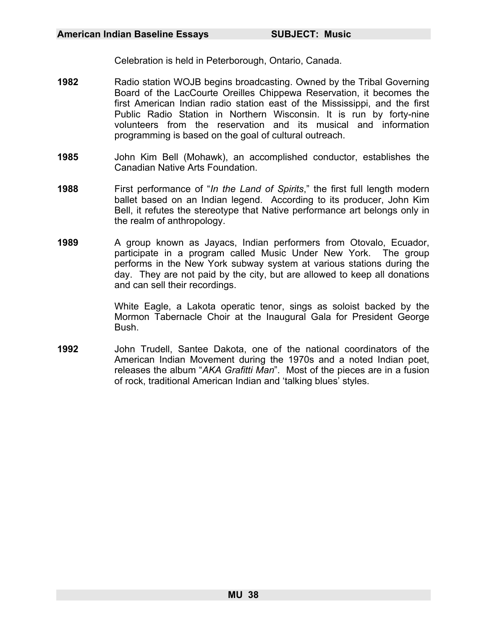Celebration is held in Peterborough, Ontario, Canada.

- <span id="page-39-0"></span>**1982** Radio station WOJB begins broadcasting. Owned by the Tribal Governing Board of the LacCourte Oreilles Chippewa Reservation, it becomes the first American Indian radio station east of the Mississippi, and the first Public Radio Station in Northern Wisconsin. It is run by forty-nine volunteers from the reservation and its musical and information programming is based on the goal of cultural outreach.
- **1985** John Kim Bell (Mohawk), an accomplished conductor, establishes the Canadian Native Arts Foundation.
- **1988** First performance of "*In the Land of Spirits*," the first full length modern ballet based on an Indian legend. According to its producer, John Kim Bell, it refutes the stereotype that Native performance art belongs only in the [rea](#page-514-9)lm of anthropology.
- **1989** A group known as Jayacs, Indian performers from Otovalo, Ecuador, participate in a program called Music Under New York. The group performs in the New York subway system at various stations during the day. They are not paid by the city, but are allowed to keep all donations and can sell their recordings.

White Eagle, a Lakota operatic tenor, sings as soloist backed by the Mormon Tabernacle Choir at the Inaugural Gala for President George Bush.

**1992** John Trudell, Santee Dakota, one of the national coordinators of the American Indian Movement during the 1970s and a noted Indian poet, releases the album "*AKA Grafitti Man*". Most of the pieces are in a fusion of rock, traditional American Indian and 'talking blues' styles.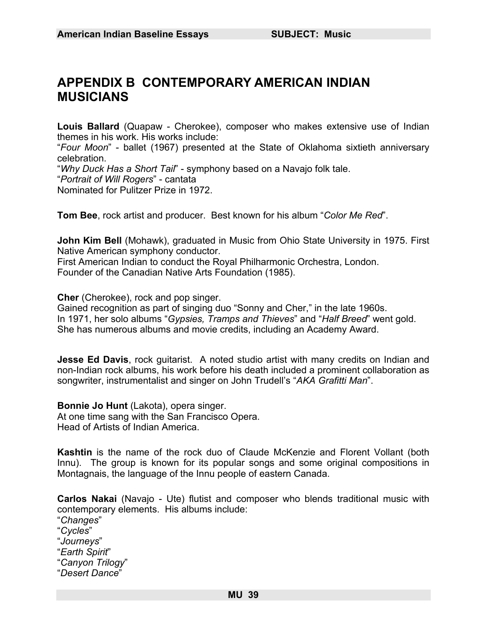## <span id="page-40-0"></span>**APPENDIX B CONTEMPORARY AMERICAN INDIAN MUSICIANS**

**Louis Ballard** (Quapaw - Cherokee), composer who makes extensive use of Indian themes in his work. His works include:

"*Four Moon*" - ballet (1967) presented at the State of Oklahoma sixtieth anniversary celebration.

"*Why Duck Has a Short Tail*" - symphony based on a Navajo folk tale. "*Portrait of Will Rogers*" - cantata

Nominated for Pulitzer Prize in 1972.

**Tom Bee**, rock artist and producer. Best known for his album "*Color Me Red*".

**John Kim Bell** (Mohawk), graduated in Music from Ohio State University in 1975. First Native American symphony conductor.

First American Indian to conduct the Royal Philharmonic Orchestra, London. Founder of the Canadian Native Arts Foundation (1985).

**Cher** (Cherokee), rock and pop singer.

Gained recognition as part of singing duo "Sonny and Cher," in the late 1960s. In 1971, her solo albums "*Gypsies, Tramps and Thieves*" and "*Half Breed*" went gold. She has numerous albums and movie credits, including an Academy Award.

**Jesse Ed Davis**, rock guitarist. A noted studio artist with many credits on Indian and non-Indian rock albums, his work before his death included a prominent collaboration as songwriter, instrumentalist and singer on John Trudell's "*AKA Grafitti Man*".

**Bonnie Jo Hunt** (Lakota), opera singer. At one time sang with the San Francisco Opera. Head of Artists of Indian America.

**Kashtin** is the name of the rock duo of Claude McKenzie and Florent Vollant (both Innu). The group is known for its popular songs and some original compositions in Montagnais, the language of the Innu people of eastern Canada.

**Carlos Nakai** (Navajo - Ute) flutist and composer who blends traditional music with contemporary elements. His albums include:

"*Changes*" "*Cycles*" "*Journeys*" "*Earth Spirit*" "*Canyon Trilogy*" "*Desert Dance*"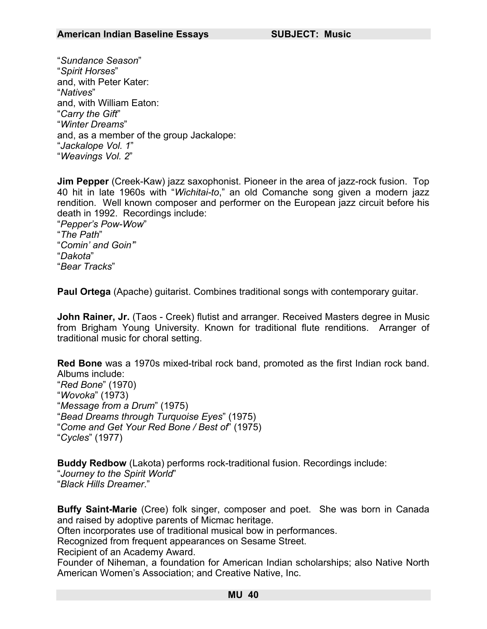"*Sundance Season*" "*Spirit Horses*" and, with Peter Kater: "*Natives*" and, with William Eaton: "*Carry the Gift*" "*Winter Dreams*" and, as a member of the group Jackalope: "*Jackalope Vol. 1*" "*Weavings Vol. 2*"

**Jim Pepper** (Creek-Kaw) jazz saxophonist. Pioneer in the area of jazz-rock fusion. Top 40 hit in late 1960s with "*Wichitai-to*," an old Comanche song given a modern jazz rendition. Well known composer and performer on the European jazz circuit before his death in 1992. Recordings include:

"*Pepper's Pow-Wow*" "*The Path*" "*Comin' and Goin'*" "*Dakota*" "*Bear Tracks*"

**Paul Ortega** (Apache) guitarist. Combines traditional songs with contemporary guitar.

**John Rainer, Jr.** (Taos - Creek) flutist and arranger. Received Masters degree in Music from Brigham Young University. Known for traditional flute renditions. Arranger of traditional music for choral setting.

**Red Bone** was a 1970s mixed-tribal rock band, promoted as the first Indian rock band. Albums include: "*Red Bone*" (1970) "*Wovoka*" (1973) "*Message from a Drum*" (1975) "*Bead Dreams through Turquoise Eyes*" (1975) "*Come and Get Your Red Bone / Best of*" (1975) "*Cycles*" (1977)

**Buddy Redbow** (Lakota) performs rock-traditional fusion. Recordings include: "*Journey to the Spirit World*" "*Black Hills Dreamer*."

**Buffy Saint-Marie** (Cree) folk singer, composer and poet. She was born in Canada and raised by adoptive parents of Micmac heritage.

Often incorporates use of traditional musical bow in performances.

Recognized from frequent appearances on Sesame Street.

Recipient of an Academy Award.

Founder of Niheman, a foundation for American Indian scholarships; also Native North American Women's Association; and Creative Native, Inc.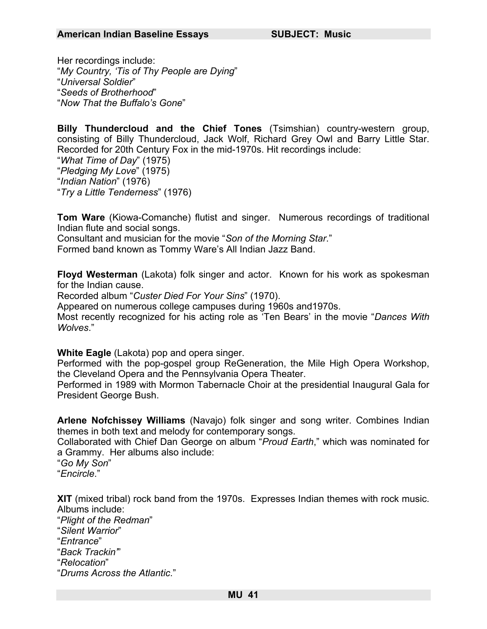Her recordings include: "*My Country, 'Tis of Thy People are Dying*" "*Universal Soldier*" "*Seeds of Brotherhood*" "*Now That the Buffalo's Gone*"

**Billy Thundercloud and the Chief Tones** (Tsimshian) country-western group, consisting of Billy Thundercloud, Jack Wolf, Richard Grey Owl and Barry Little Star. Recorded for 20th Century Fox in the mid-1970s. Hit recordings include:

"*What Time of Day*" (1975) "*Pledging My Love*" (1975) "*Indian Nation*" (1976) "*Try a Little Tenderness*" (1976)

**Tom Ware** (Kiowa-Comanche) flutist and singer. Numerous recordings of traditional Indian flute and social songs.

Consultant and musician for the movie "*Son of the Morning Star*." Formed band known as Tommy Ware's All Indian Jazz Band.

**Floyd Westerman** (Lakota) folk singer and actor. Known for his work as spokesman for the Indian cause.

Recorded album "*Custer Died For Your Sins*" (1970).

Appeared on numerous college campuses during 1960s and1970s.

Most recently recognized for his acting role as 'Ten Bears' in the movie "*Dances With Wolves*."

**White Eagle** (Lakota) pop and opera singer.

Performed with the pop-gospel group ReGeneration, the Mile High Opera Workshop, the Cleveland Opera and the Pennsylvania Opera Theater.

Performed in 1989 with Mormon Tabernacle Choir at the presidential Inaugural Gala for President George Bush.

**Arlene Nofchissey Williams** (Navajo) folk singer and song writer. Combines Indian themes in both text and melody for contemporary songs.

Collaborated with Chief Dan George on album "*Proud Earth*," which was nominated for a Grammy. Her albums also include:

"*Go My Son*" "*Encircle*."

**XIT** (mixed tribal) rock band from the 1970s. Expresses Indian themes with rock music. Albums include:

"*Plight of the Redman*"

"*Silent Warrior*"

"*Entrance*"

"*Back Trackin'*"

"*Relocation*"

"*Drums Across the Atlantic*."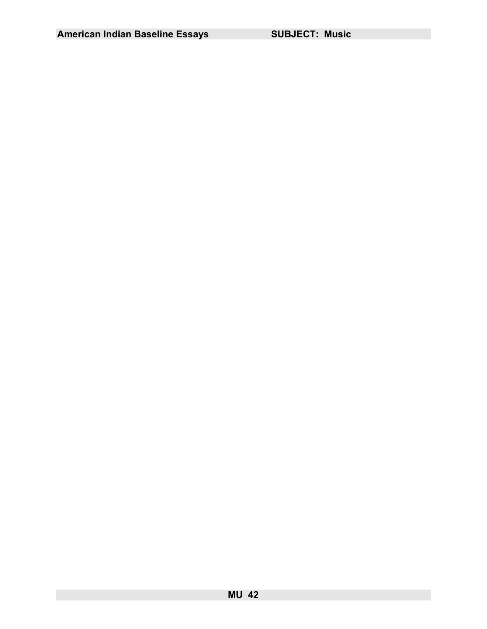**MU 42**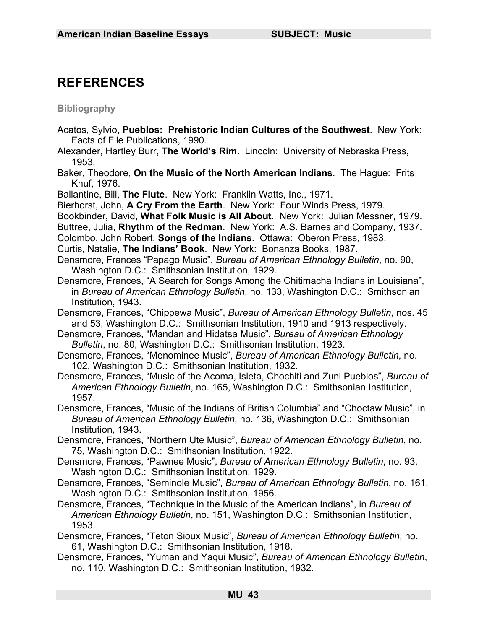## **REFERENCES**

**Bibliography**

- Acatos, Sylvio, **Pueblos: Prehistoric Indian Cultures of the Southwest**. New York: Facts of File Publications, 1990.
- Alexander, Hartley Burr, **The World's Rim**. Lincoln: University of Nebraska Press, 1953.
- Baker, Theodore, **On the Music of the North American Indians**. The Hague: Frits Knuf, 1976.

Ballantine, Bill, **The Flute**. New York: Franklin Watts, Inc., 1971.

Bierhorst, John, **A Cry From the Earth**. New York: Four Winds Press, 1979.

Bookbinder, David, **What Folk Music is All About**. New York: Julian Messner, 1979. Buttree, Julia, **Rhythm of the Redman**. New York: A.S. Barnes and Company, 1937.

Colombo, John Robert, **Songs of the Indians**. Ottawa: Oberon Press, 1983.

Curtis, Natalie, **The Indians' Book**. New York: Bonanza Books, 1987.

Densmore, Frances "Papago Music", *Bureau of American Ethnology Bulletin*, no. 90, Washington D.C.: Smithsonian Institution, 1929.

Densmore, Frances, "A Search for Songs Among the Chitimacha Indians in Louisiana", in *Bureau of American Ethnology Bulletin*, no. 133, Washington D.C.: Smithsonian Institution, 1943.

Densmore, Frances, "Chippewa Music", *Bureau of American Ethnology Bulletin*, nos. 45 and 53, Washington D.C.: Smithsonian Institution, 1910 and 1913 respectively.

Densmore, Frances, "Mandan and Hidatsa Music", *Bureau of American Ethnology Bulletin*, no. 80, Washington D.C.: Smithsonian Institution, 1923.

Densmore, Frances, "Menominee Music", *Bureau of American Ethnology Bulletin*, no. 102, Washington D.C.: Smithsonian Institution, 1932.

- Densmore, Frances, "Music of the Acoma, Isleta, Chochiti and Zuni Pueblos", *Bureau of American Ethnology Bulletin*, no. 165, Washington D.C.: Smithsonian Institution, 1957.
- Densmore, Frances, "Music of the Indians of British Columbia" and "Choctaw Music", in *Bureau of American Ethnology Bulletin*, no. 136, Washington D.C.: Smithsonian Institution, 1943.

Densmore, Frances, "Northern Ute Music", *Bureau of American Ethnology Bulletin*, no. 75, Washington D.C.: Smithsonian Institution, 1922.

Densmore, Frances, "Pawnee Music", *Bureau of American Ethnology Bulletin*, no. 93, Washington D.C.: Smithsonian Institution, 1929.

Densmore, Frances, "Seminole Music", *Bureau of American Ethnology Bulletin*, no. 161, Washington D.C.: Smithsonian Institution, 1956.

Densmore, Frances, "Technique in the Music of the American Indians", in *Bureau of American Ethnology Bulletin*, no. 151, Washington D.C.: Smithsonian Institution, 1953.

Densmore, Frances, "Teton Sioux Music", *Bureau of American Ethnology Bulletin*, no. 61, Washington D.C.: Smithsonian Institution, 1918.

Densmore, Frances, "Yuman and Yaqui Music", *Bureau of American Ethnology Bulletin*, no. 110, Washington D.C.: Smithsonian Institution, 1932.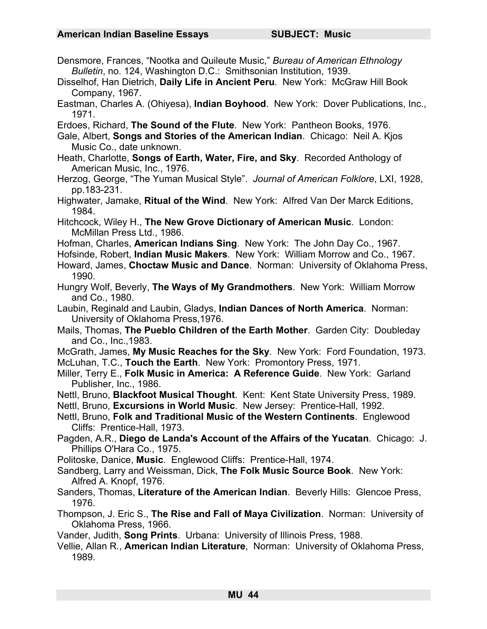- Densmore, Frances, "Nootka and Quileute Music," *Bureau of American Ethnology Bulletin*, no. 124, Washington D.C.: Smithsonian Institution, 1939.
- Disselhof, Han Dietrich, **Daily Life in Ancient Peru**. New York: McGraw Hill Book Company, 1967.
- Eastman, Charles A. (Ohiyesa), **Indian Boyhood**. New York: Dover Publications, Inc., 1971.
- Erdoes, Richard, **The Sound of the Flute**. New York: Pantheon Books, 1976.
- Gale, Albert, **Songs and Stories of the American Indian**. Chicago: Neil A. Kjos Music Co., date unknown.
- Heath, Charlotte, **Songs of Earth, Water, Fire, and Sky**. Recorded Anthology of American Music, Inc., 1976.
- Herzog, George, "The Yuman Musical Style". *Journal of American Folklore*, LXI, 1928, pp.183-231.
- Highwater, Jamake, **Ritual of the Wind**. New York: Alfred Van Der Marck Editions, 1984.
- Hitchcock, Wiley H., **The New Grove Dictionary of American Music**. London: McMillan Press Ltd., 1986.
- Hofman, Charles, **American Indians Sing**. New York: The John Day Co., 1967.
- Hofsinde, Robert, **Indian Music Makers**. New York: William Morrow and Co., 1967.
- Howard, James, **Choctaw Music and Dance**. Norman: University of Oklahoma Press, 1990.
- Hungry Wolf, Beverly, **The Ways of My Grandmothers**. New York: William Morrow and Co., 1980.
- Laubin, Reginald and Laubin, Gladys, **Indian Dances of North America**. Norman: University of Oklahoma Press,1976.
- Mails, Thomas, **The Pueblo Children of the Earth Mother**. Garden City: Doubleday and Co., Inc.,1983.
- McGrath, James, **My Music Reaches for the Sky**. New York: Ford Foundation, 1973. McLuhan, T.C., **Touch the Earth**. New York: Promontory Press, 1971.
- Miller, Terry E., **Folk Music in America: A Reference Guide**. New York: Garland Publisher, Inc., 1986.
- Nettl, Bruno, **Blackfoot Musical Thought**. Kent: Kent State University Press, 1989.
- Nettl, Bruno, **Excursions in World Music**. New Jersey: Prentice-Hall, 1992.
- Nettl, Bruno, **Folk and Traditional Music of the Western Continents**. Englewood Cliffs: Prentice-Hall, 1973.
- Pagden, A.R., **Diego de Landa's Account of the Affairs of the Yucatan**. Chicago: J. Phillips O'Hara Co., 1975.
- Politoske, Danice, **Music**. Englewood Cliffs: Prentice-Hall, 1974.
- Sandberg, Larry and Weissman, Dick, **The Folk Music Source Book**. New York: Alfred A. Knopf, 1976.
- Sanders, Thomas, **Literature of the American Indian**. Beverly Hills: Glencoe Press, 1976.
- Thompson, J. Eric S., **The Rise and Fall of Maya Civilization**. Norman: University of Oklahoma Press, 1966.
- Vander, Judith, **Song Prints**. Urbana: University of Illinois Press, 1988.
- Vellie, Allan R., **American Indian Literature**, Norman: University of Oklahoma Press, 1989.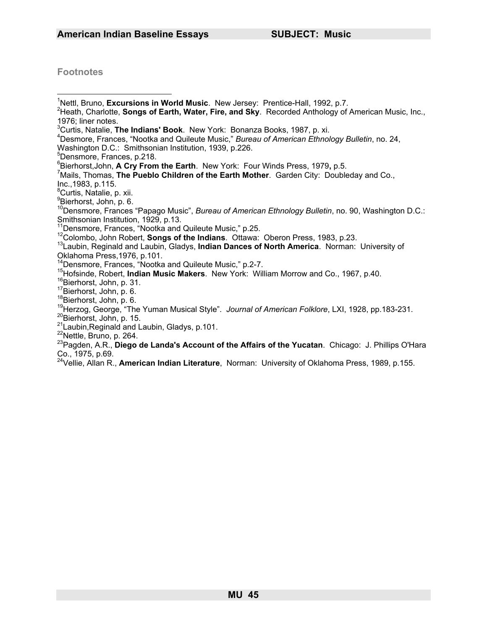**Footnotes** 

 $\frac{1}{1}$ <sup>1</sup>Nettl, Bruno, **Excursions in World Music**. New Jersey: Prentice-Hall, 1992, p.7.<br><sup>2</sup>Heath, Charlotte, **Sange of Farth, Water, Fire, and Sky**, Reserved Apthology of a <sup>2</sup>Heath, Charlotte, **Songs of Earth, Water, Fire, and Sky**. Recorded Anthology of American Music, Inc., 1976; liner notes. <sup>3</sup>Curtis, Natalie, **The Indians' Book**. New York: Bonanza Books, 1987, p. xi.<br><sup>4</sup>Desmars, Erances, "Nastka and Quiloute Music," *Burgou of American Ethnol* Desmore, Frances, "Nootka and Quileute Music," *Bureau of American Ethnology Bulletin*, no. 24, Washington D.C.: Smithsonian Institution, 1939, p.226. <sup>5</sup>Densmore, Frances, p.218. <sup>6</sup> Bierhorst, John, **A Cry From the Earth**. New York: Four Winds Press, 1979, p.5. 7 Anily 1988. Mails, Thomas, **The Pueblo Children of the Earth Mother**. Garden City: Doubleday and Co., Inc.,1983, p.115. <sup>8</sup>Curtis, Natalie, p. xii. <sup>9</sup>Bierhorst, John, p. 6. <sup>10</sup>Densmore, Frances "Papago Music", *Bureau of American Ethnology Bulletin*, no. 90, Washington D.C.: Smithsonian Institution, 1929, p.13.<br><sup>11</sup> Densmore, Frances, "Nootka and Quileute Music," p.25. <sup>12</sup>Colombo, John Robert, **Songs of the Indians**. Ottawa: Oberon Press, 1983, p.23.<br><sup>13</sup>Laubin, Reginald and Laubin, Gladys, **Indian Dances of North America**. Norman: University of Oklahoma Press, 1976, p. 101.<br><sup>14</sup>Densmore, Frances, "Nootka and Quileute Music," p. 2-7. <sup>15</sup>Hofsinde, Robert, Indian Music Makers. New York: William Morrow and Co., 1967, p.40.<br><sup>16</sup>Bierhorst, John, p. 31.<br><sup>17</sup>Bierhorst, John, p. 6.<br><sup>18</sup>Bierhorst, John, p. 6.<br><sup>18</sup>Bierhorst, John, p. 6.<br><sup>18</sup>Bierhorst, John, p. Co., 1975, p.69.<br><sup>24</sup>Vellie. Allan R., **American Indian Literature**, Norman: University of Oklahoma Press, 1989, p.155.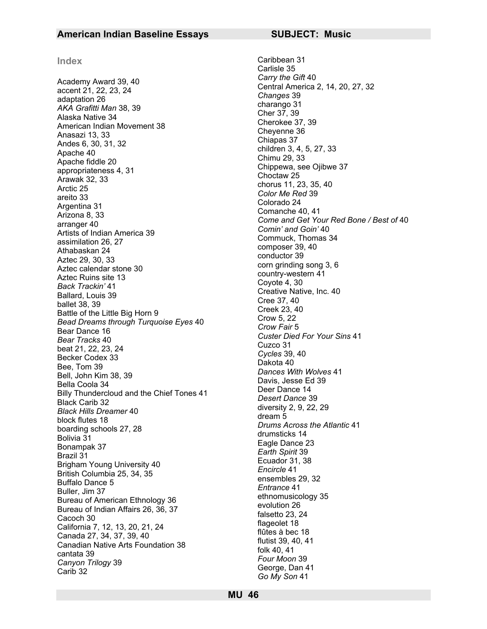<span id="page-47-0"></span>**Index** Caribbean 31

Accelery Award 39, 40<br>
Accelery Award 39, 40<br>
Accelery Award 39, 40<br>
accelery 2, 2, 2, 2, 24<br>
accelery 2, 2, 2, 2, 2<br>
A Maximum Movement 38<br>
Amazon 17: 2, 23, 24<br>
A Maximum Movement 39<br>
Amazon 17: 3<br>
Amazon 17: 3<br>
Amazon

Carlisle 35 *Go My Son* 41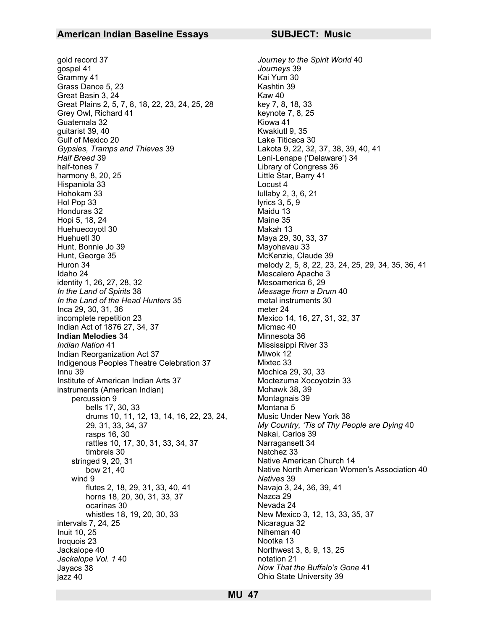#### **American Indian Baseline Essays SUBJECT: Music**

gold record 37 *Journey to the Spirit World* 40 gospel 41 *Journeys* 39 Grammy 41 Kai Yum 30 Grass Dance 5, 23 Kashtin 39 Great Basin 3, 24 Kaw 40 Great Plains 2, 5, 7, 8, 18, 22, 23, 24, 25, 28 key 7, 8, 18, 33 Grey Owl, Richard 41 keynote 7, 8, 25 Guatemala 32 Kiowa 41 guitarist 39, 40 Kwakiutl 9, 35 Gulf of Mexico 20 **Lake Titicaca 30** *Gypsies, Tramps and Thieves* 39 Lakota 9, 22, 32, 37, 38, 39, 40, 41 *Half Breed* 39 Leni-Lenape ('Delaware') 34 half-tones 7 Library of Congress 36 harmony 8, 20, 25 Little Star, Barry 41 Hispaniola 33 Locust 4 Hohokam 33 lullaby 2, 3, 6, 21 Honduras 32 Maidu 13 Hopi 5, 18, 24 Maine 35 Huehuecovotl 30 Makah 13 Huehuetl 30 Maya 29, 30, 33, 37 Hunt, Bonnie Jo 39 Mayohavau 33 Hunt, George 35 McKenzie, Claude 39 Huron 34 melody 2, 5, 8, 22, 23, 24, 25, 29, 34, 35, 36, 41 Idaho 24 Mescalero Apache 3 identity 1, 26, 27, 28, 32 Mesoamerica 6, 29 *In the Land of Spirits* 38 *Message from a Drum* 40 *In the Land of the Head Hunters* 35 metal instruments 30 Inca 29, 30, 31, 36 meter 24 incomplete repetition 23 Mexico 14, 16, 27, 31, 32, 37 Indian Act of 1876 27, 34, 37 Micmac 40 **Indian Melodies** 34 Minnesota 36 *Indian Nation* 41 Mississippi River 33 Indian Reorganization Act 37 Miwok 12 Indigenous Peoples Theatre Celebration 37 Mixtec 33 Innu 39 Mochica 29, 30, 33 Institute of American Indian Arts 37 Moctezuma Xocoyotzin 33 instruments (American Indian) Mohawk 38, 39<br>percussion 9 Montagnais 39 bells 17, 30, 33 Montana 5 drums 10, 11, 12, 13, 14, 16, 22, 23, 24, Music Under New York 38 rasps 16, 30 **Nakai, Carlos 39**<br>
rattles 10, 17, 30, 31, 33, 34, 37 **Narragansett 34** rattles 10, 17, 30, 31, 33, 34, 37 **Narraganse**<br>
Natchez 33 timbrels 30 stringed 9, 20, 31 Native American Church 14 wind 9 *Natives* 39 flutes 2, 18, 29, 31, 33, 40, 41 horns 18, 20, 30, 31, 33, 37 Nazca 29 ocarinas 30 Nevada 24 whistles 18, 19, 20, 30, 33 New Mexico 3, 12, 13, 33, 35, 37 intervals 7, 24, 25 Nicaragua 32 Inuit 10, 25 Niheman 40 Iroquois 23 Nootka 13 Jackalope 40 Northwest 3, 8, 9, 13, 25 *Jackalope Vol. 1* 40 **hotation 21** notation 21 Jayacs 38 *Now That the Buffalo's Gone* 41 jazz 40 Ohio State University 39

lyrics  $3, 5, 9$ Montagnais 39 29, 31, 33, 34, 37 *My Country, 'Tis of Thy People are Dying* 40 bow 21, 40 Native North American Women's Association 40

**MU 47**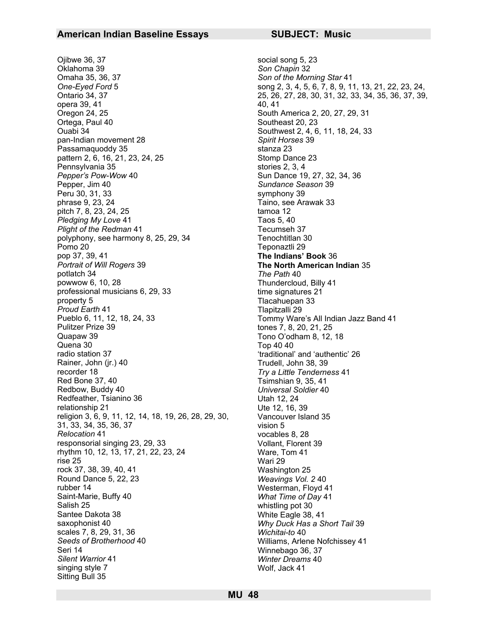Ojibwe 36, 37 social song 5, 23 Oklahoma 39 *Son Chapin* 32 Omaha 35, 36, 37 *Son of the Morning Star* 41 Ontario 34, 37 opera 39, 41 Oregon 24, 25 South America 2, 20, 27, 29, 31 Ortega, Paul 40 Southeast 20, 23 Ouabi 34 Southwest 2, 4, 6, 11, 18, 24, 33 pan-Indian movement 28 *Spirit Horses* 39 Passamaquoddy 35 stanza 23 pattern 2, 6, 16, 21, 23, 24, 25 Stomp Dance 23 Pennsylvania 35 stories 2, 3, 4 *Pepper's Pow-Wow* 40 **Sun Dance 19, 27, 32, 34, 36** Sun Dance 19, 27, 32, 34, 36 Pepper, Jim 40 *Sundance Season* 39 Peru 30, 31, 33 phrase 9, 23, 24 Taino, see Arawak 33 pitch 7, 8, 23, 24, 25 tamoa 12 *Pledging My Love* 41 Taos 5, 40 *Plight of the Redman* 41 Tecumseh 37 polyphony, see harmony 8, 25, 29, 34 Tenochtitlan 30 Pomo 20 Teponaztli 29 pop 37, 39, 41 **The Indians' Book** 36 potlatch 34 *The Path* 40 powwow 6, 10, 28 Thundercloud, Billy 41 professional musicians 6, 29, 33 time signatures 21<br>property 5 Tlacahuepan 33 *Proud Earth* 41 Tlapitzalli 29<br>Pueblo 6, 11, 12, 18, 24, 33 Tommy Ware Pueblo 6, 11, 12, 18, 24, 33 Tommy Ware's All Indian Jazz Band 41 Pulitzer Prize 39 tones 7, 8, 20, 21, 25<br>Quapaw 39 Cuapaw 39 Quapaw 39 Tono O'odham 8, 12, 18 radio station 37 <sup>traditional'</sup> and 'authentic' 26 **Product 26**<br>
Rainer, John (jr.) 40 **Trudell**, John 38, 39 Rainer, John (jr.) 40 recorder 18 *Try a Little Tenderness* 41 Red Bone 37, 40 Tsimshian 9, 35, 41 Redbow, Buddy 40 *Universal Soldier* 40 Redfeather, Tsianino 36 Utah 12, 24 relationship 21 Ute 12, 16, 39 religion 3, 6, 9, 11, 12, 14, 18, 19, 26, 28, 29, 30, 31, 33, 34, 35, 36, 37 *Relocation* 41 vocables 8, 28 responsorial singing 23, 29, 33 rhythm 10, 12, 13, 17, 21, 22, 23, 24 Ware, Tom 41 rise 25 Wari 29 rock 37, 38, 39, 40, 41 Washington 25 Round Dance 5, 22, 23 *Weavings Vol. 2* 40 rubber 14 Westerman, Floyd 41 Saint-Marie, Buffy 40 *What Time of Day* 41 Salish 25 whistling pot 30 Santee Dakota 38 November 2012 12:00 White Eagle 38, 41 scales 7, 8, 29, 31, 36 *Wichitai-to* 40 *Seeds of Brotherhood* 40 Williams, Arlene Nofchissey 41 Seri 14 Winnebago 36, 37 singing style 7 Wolf, Jack 41 Sitting Bull 35

*One-Eyed Ford* 5 song 2, 3, 4, 5, 6, 7, 8, 9, 11, 13, 21, 22, 23, 24, 25, 26, 27, 28, 30, 31, 32, 33, 34, 35, 36, 37, 39, 40, 41 **The North American Indian** 35 Tlacahuepan 33 Top 40 40 Vancouver Island 35 vision 5 **Why Duck Has a Short Tail 39** *Silent Warrior* 41 *Winter Dreams* 40